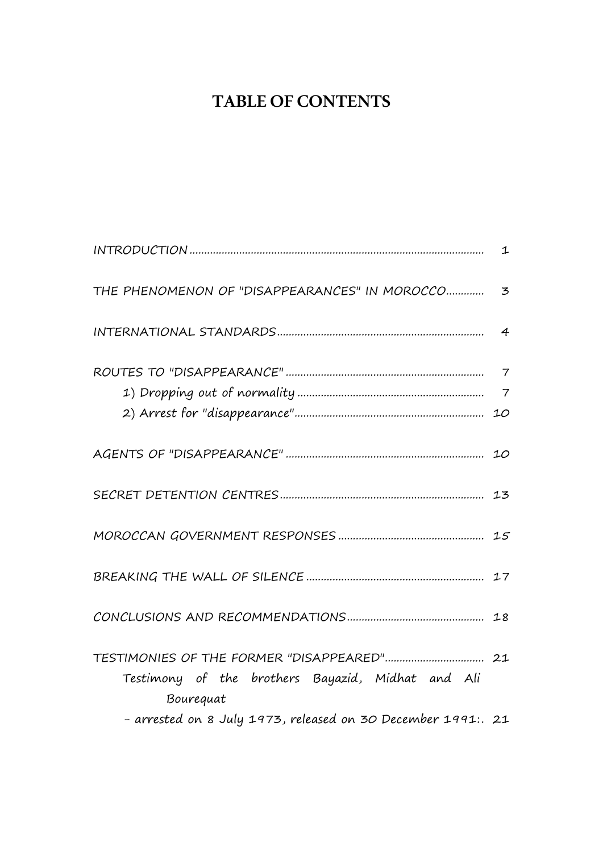# **TABLE OF CONTENTS**

| THE PHENOMENON OF "DISAPPEARANCES" IN MOROCCO  3                                                                               |  |
|--------------------------------------------------------------------------------------------------------------------------------|--|
|                                                                                                                                |  |
|                                                                                                                                |  |
|                                                                                                                                |  |
|                                                                                                                                |  |
|                                                                                                                                |  |
|                                                                                                                                |  |
|                                                                                                                                |  |
| Testimony of the brothers Bayazid, Midhat and Ali<br>Bourequat<br>- arrested on 8 July 1973, released on 30 December 1991:. 21 |  |
|                                                                                                                                |  |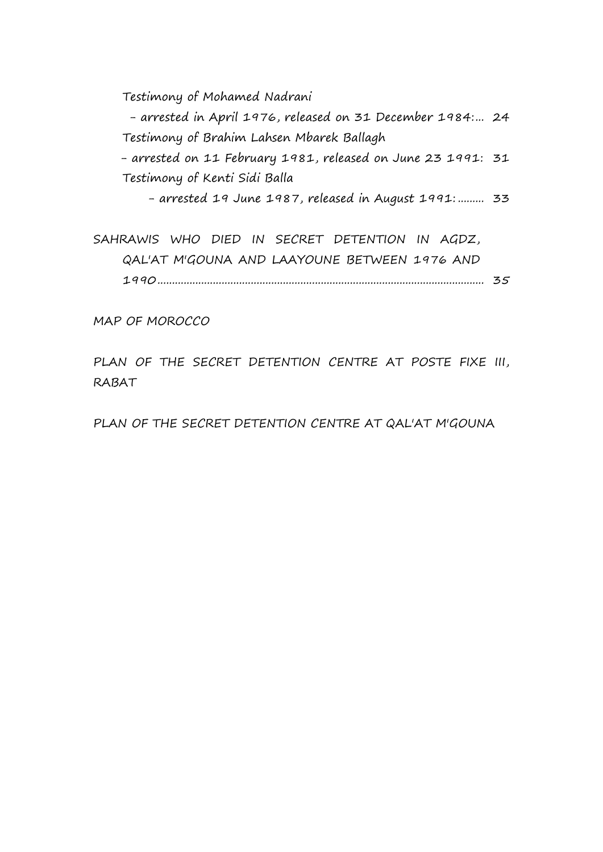Testimony of Mohamed Nadrani

- arrested in April 1976, released on 31 December 1984:... 24 Testimony of Brahim Lahsen Mbarek Ballagh

- arrested on 11 February 1981, released on June 23 1991: 31 Testimony of Kenti Sidi Balla

- arrested 19 June 1987, released in August 1991: ......... 33

SAHRAWIS WHO DIED IN SECRET DETENTION IN AGDZ, QAL'AT M'GOUNA AND LAAYOUNE BETWEEN 1976 AND 1990................................................................................................................ 35

MAP OF MOROCCO

PLAN OF THE SECRET DETENTION CENTRE AT POSTE FIXE III, RABAT

PLAN OF THE SECRET DETENTION CENTRE AT QAL'AT M'GOUNA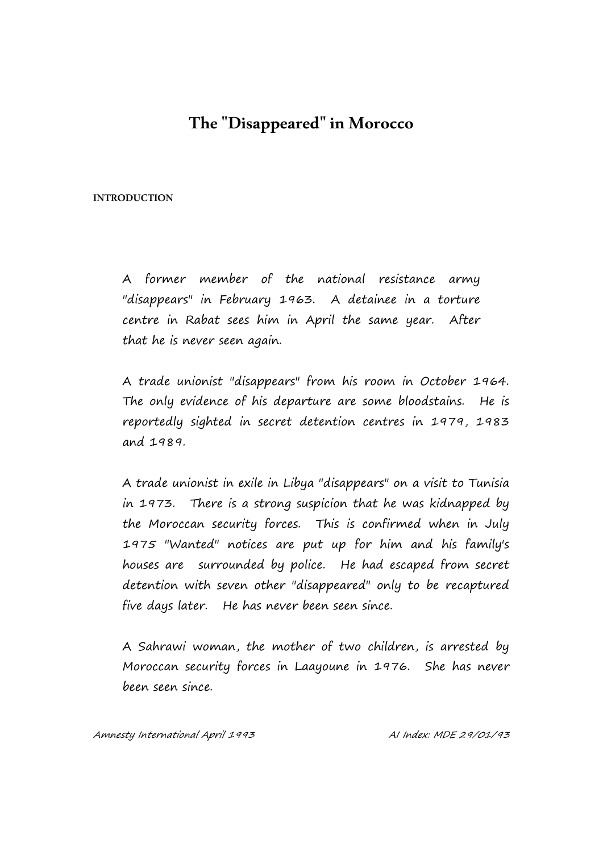# **The "Disappeared" in Morocco**

#### **INTRODUCTION**

A former member of the national resistance army "disappears" in February 1963. A detainee in a torture centre in Rabat sees him in April the same year. After that he is never seen again.

A trade unionist "disappears" from his room in October 1964. The only evidence of his departure are some bloodstains. He is reportedly sighted in secret detention centres in 1979, 1983 and 1989.

A trade unionist in exile in Libya "disappears" on a visit to Tunisia in 1973. There is a strong suspicion that he was kidnapped by the Moroccan security forces. This is confirmed when in July 1975 "Wanted" notices are put up for him and his family's houses are surrounded by police. He had escaped from secret detention with seven other "disappeared" only to be recaptured five days later. He has never been seen since.

A Sahrawi woman, the mother of two children, is arrested by Moroccan security forces in Laayoune in 1976. She has never been seen since.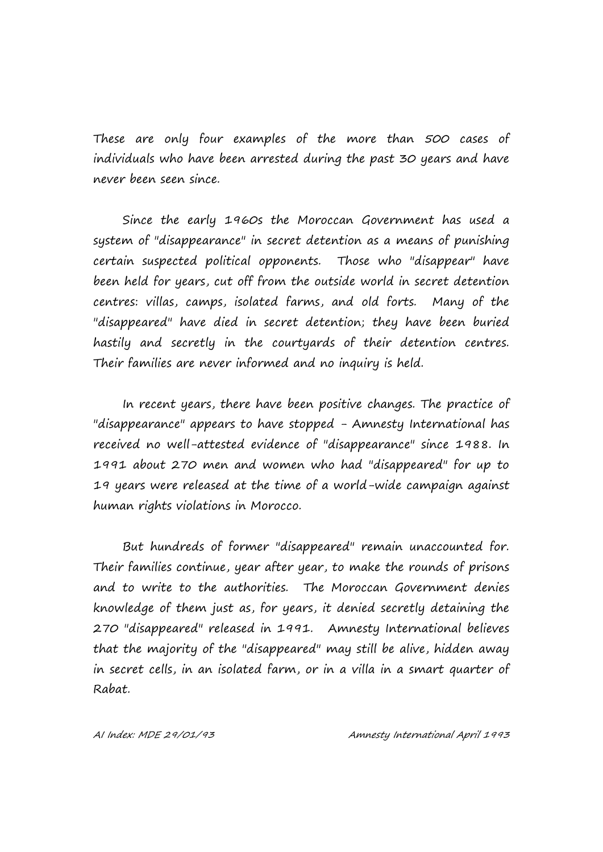These are only four examples of the more than 500 cases of individuals who have been arrested during the past 30 years and have never been seen since.

Since the early 1960s the Moroccan Government has used a system of "disappearance" in secret detention as a means of punishing certain suspected political opponents. Those who "disappear" have been held for years, cut off from the outside world in secret detention centres: villas, camps, isolated farms, and old forts. Many of the "disappeared" have died in secret detention; they have been buried hastily and secretly in the courtyards of their detention centres. Their families are never informed and no inquiry is held.

In recent years, there have been positive changes. The practice of "disappearance" appears to have stopped - Amnesty International has received no well-attested evidence of "disappearance" since 1988. In 1991 about 270 men and women who had "disappeared" for up to 19 years were released at the time of a world-wide campaign against human rights violations in Morocco.

But hundreds of former "disappeared" remain unaccounted for. Their families continue, year after year, to make the rounds of prisons and to write to the authorities. The Moroccan Government denies knowledge of them just as, for years, it denied secretly detaining the 270 "disappeared" released in 1991. Amnesty International believes that the majority of the "disappeared" may still be alive, hidden away in secret cells, in an isolated farm, or in a villa in a smart quarter of Rabat.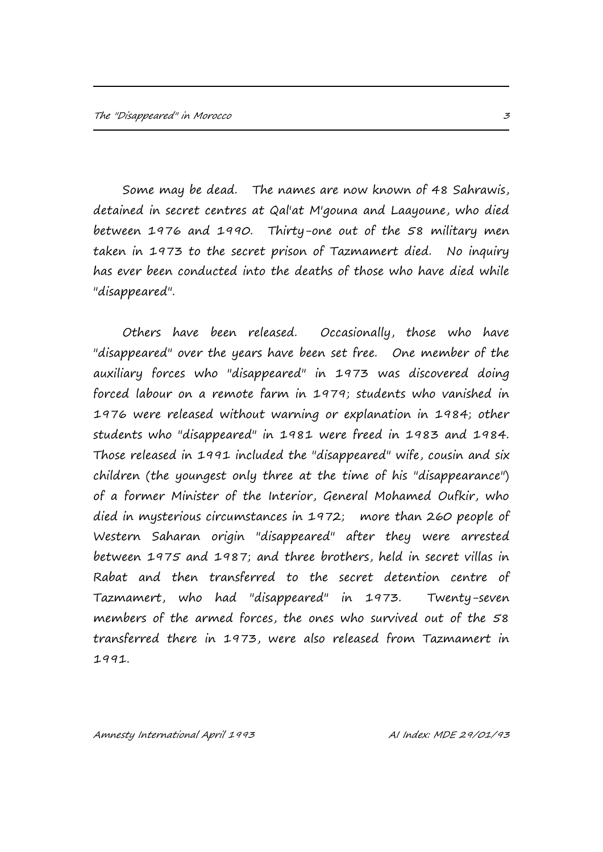Some may be dead. The names are now known of 48 Sahrawis, detained in secret centres at Qal'at M'gouna and Laayoune, who died between 1976 and 1990. Thirty-one out of the 58 military men taken in 1973 to the secret prison of Tazmamert died. No inquiry has ever been conducted into the deaths of those who have died while "disappeared".

Others have been released. Occasionally, those who have "disappeared" over the years have been set free. One member of the auxiliary forces who "disappeared" in 1973 was discovered doing forced labour on a remote farm in 1979; students who vanished in 1976 were released without warning or explanation in 1984; other students who "disappeared" in 1981 were freed in 1983 and 1984. Those released in 1991 included the "disappeared" wife, cousin and six children (the youngest only three at the time of his "disappearance") of a former Minister of the Interior, General Mohamed Oufkir, who died in mysterious circumstances in 1972; more than 260 people of Western Saharan origin "disappeared" after they were arrested between 1975 and 1987; and three brothers, held in secret villas in Rabat and then transferred to the secret detention centre of Tazmamert, who had "disappeared" in 1973. Twenty-seven members of the armed forces, the ones who survived out of the 58 transferred there in 1973, were also released from Tazmamert in 1991.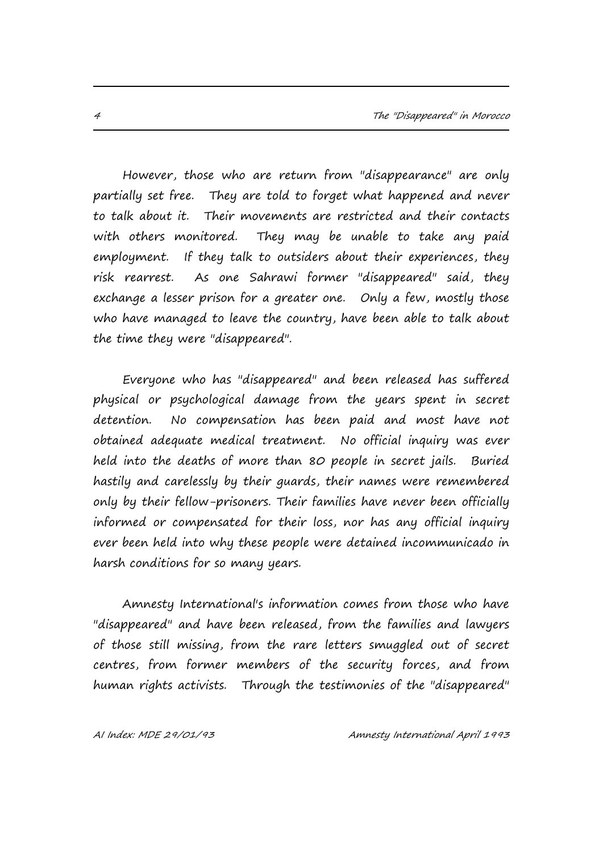However, those who are return from "disappearance" are only partially set free. They are told to forget what happened and never to talk about it. Their movements are restricted and their contacts with others monitored. They may be unable to take any paid employment. If they talk to outsiders about their experiences, they risk rearrest. As one Sahrawi former "disappeared" said, they exchange a lesser prison for a greater one. Only a few, mostly those who have managed to leave the country, have been able to talk about the time they were "disappeared".

Everyone who has "disappeared" and been released has suffered physical or psychological damage from the years spent in secret detention. No compensation has been paid and most have not obtained adequate medical treatment. No official inquiry was ever held into the deaths of more than 80 people in secret jails. Buried hastily and carelessly by their guards, their names were remembered only by their fellow-prisoners. Their families have never been officially informed or compensated for their loss, nor has any official inquiry ever been held into why these people were detained incommunicado in harsh conditions for so many years.

Amnesty International's information comes from those who have "disappeared" and have been released, from the families and lawyers of those still missing, from the rare letters smuggled out of secret centres, from former members of the security forces, and from human rights activists. Through the testimonies of the "disappeared"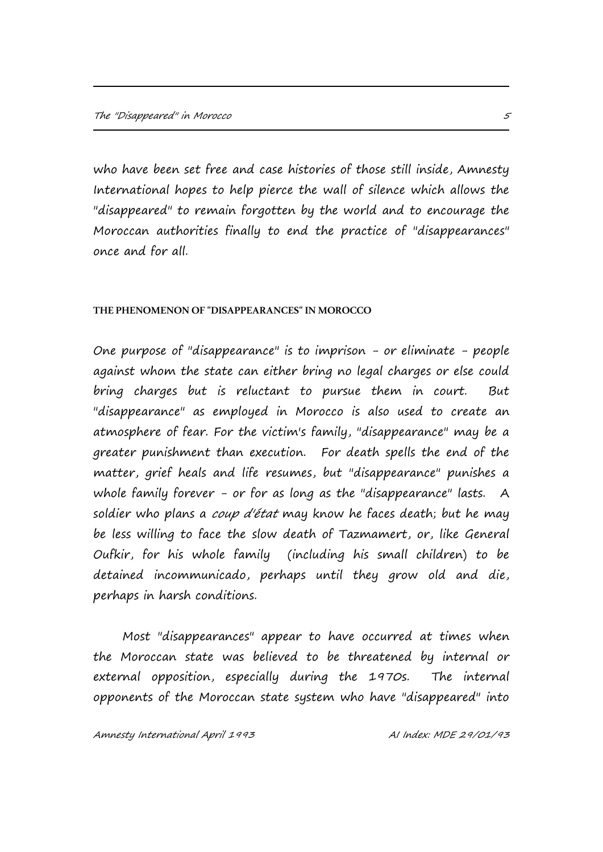who have been set free and case histories of those still inside, Amnesty International hopes to help pierce the wall of silence which allows the "disappeared" to remain forgotten by the world and to encourage the Moroccan authorities finally to end the practice of "disappearances" once and for all.

#### **THE PHENOMENON OF "DISAPPEARANCES" IN MOROCCO**

One purpose of "disappearance" is to imprison - or eliminate - people against whom the state can either bring no legal charges or else could bring charges but is reluctant to pursue them in court. But "disappearance" as employed in Morocco is also used to create an atmosphere of fear. For the victim's family, "disappearance" may be a greater punishment than execution. For death spells the end of the matter, grief heals and life resumes, but "disappearance" punishes a whole family forever - or for as long as the "disappearance" lasts. A soldier who plans a *coup d'état* may know he faces death; but he may be less willing to face the slow death of Tazmamert, or, like General Oufkir, for his whole family (including his small children) to be detained incommunicado, perhaps until they grow old and die, perhaps in harsh conditions.

Most "disappearances" appear to have occurred at times when the Moroccan state was believed to be threatened by internal or external opposition, especially during the 1970s. The internal opponents of the Moroccan state system who have "disappeared" into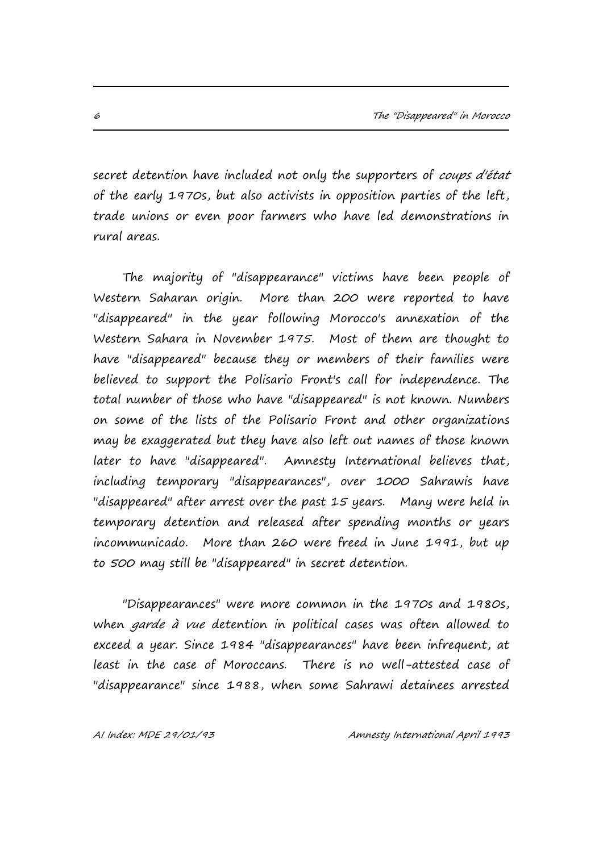secret detention have included not only the supporters of coups d'état of the early 1970s, but also activists in opposition parties of the left, trade unions or even poor farmers who have led demonstrations in rural areas.

The majority of "disappearance" victims have been people of Western Saharan origin. More than 200 were reported to have "disappeared" in the year following Morocco's annexation of the Western Sahara in November 1975. Most of them are thought to have "disappeared" because they or members of their families were believed to support the Polisario Front's call for independence. The total number of those who have "disappeared" is not known. Numbers on some of the lists of the Polisario Front and other organizations may be exaggerated but they have also left out names of those known later to have "disappeared". Amnesty International believes that, including temporary "disappearances", over 1000 Sahrawis have "disappeared" after arrest over the past 15 years. Many were held in temporary detention and released after spending months or years incommunicado. More than 260 were freed in June 1991, but up to 500 may still be "disappeared" in secret detention.

"Disappearances" were more common in the 1970s and 1980s, when garde à vue detention in political cases was often allowed to exceed a year. Since 1984 "disappearances" have been infrequent, at least in the case of Moroccans. There is no well-attested case of "disappearance" since 1988, when some Sahrawi detainees arrested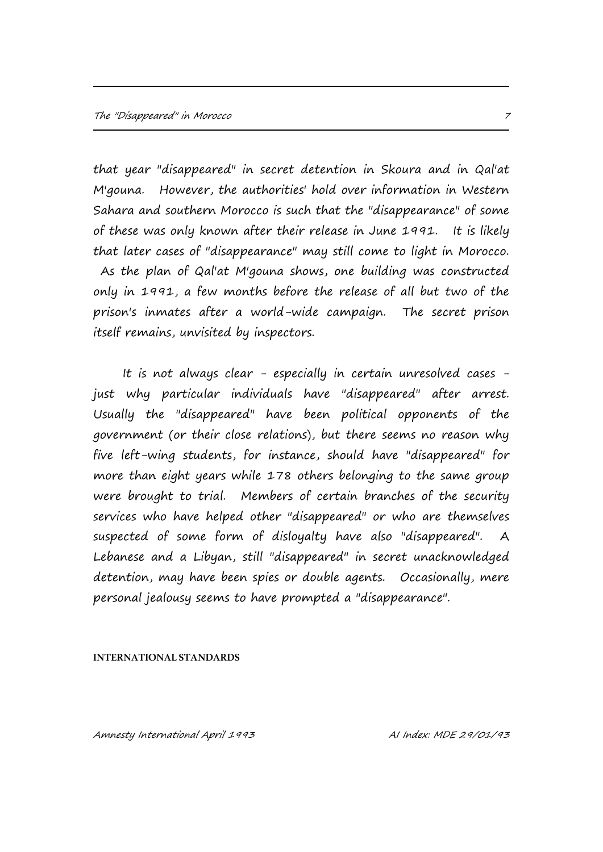that year "disappeared" in secret detention in Skoura and in Qal'at M'gouna. However, the authorities' hold over information in Western Sahara and southern Morocco is such that the "disappearance" of some of these was only known after their release in June 1991. It is likely that later cases of "disappearance" may still come to light in Morocco. As the plan of Qal'at M'gouna shows, one building was constructed only in 1991, a few months before the release of all but two of the prison's inmates after a world-wide campaign. The secret prison itself remains, unvisited by inspectors.

It is not always clear - especially in certain unresolved cases just why particular individuals have "disappeared" after arrest. Usually the "disappeared" have been political opponents of the government (or their close relations), but there seems no reason why five left-wing students, for instance, should have "disappeared" for more than eight years while 178 others belonging to the same group were brought to trial. Members of certain branches of the security services who have helped other "disappeared" or who are themselves suspected of some form of disloyalty have also "disappeared". A Lebanese and a Libyan, still "disappeared" in secret unacknowledged detention, may have been spies or double agents. Occasionally, mere personal jealousy seems to have prompted a "disappearance".

#### **INTERNATIONAL STANDARDS**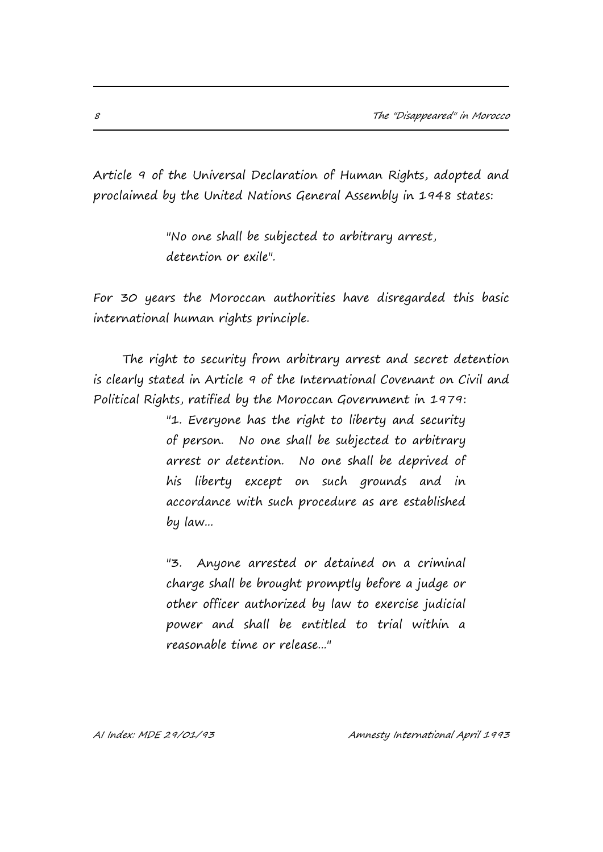Article 9 of the Universal Declaration of Human Rights, adopted and proclaimed by the United Nations General Assembly in 1948 states:

> "No one shall be subjected to arbitrary arrest, detention or exile".

For 30 years the Moroccan authorities have disregarded this basic international human rights principle.

The right to security from arbitrary arrest and secret detention is clearly stated in Article 9 of the International Covenant on Civil and Political Rights, ratified by the Moroccan Government in 1979:

> "1. Everyone has the right to liberty and security of person. No one shall be subjected to arbitrary arrest or detention. No one shall be deprived of his liberty except on such grounds and in accordance with such procedure as are established by law...

> "3. Anyone arrested or detained on a criminal charge shall be brought promptly before a judge or other officer authorized by law to exercise judicial power and shall be entitled to trial within a reasonable time or release..."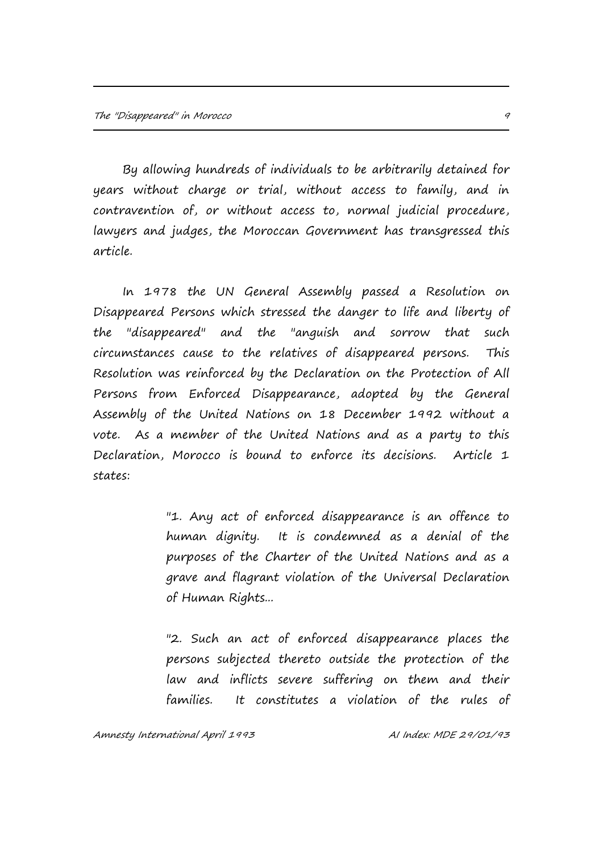By allowing hundreds of individuals to be arbitrarily detained for years without charge or trial, without access to family, and in contravention of, or without access to, normal judicial procedure, lawyers and judges, the Moroccan Government has transgressed this article.

In 1978 the UN General Assembly passed a Resolution on Disappeared Persons which stressed the danger to life and liberty of the "disappeared" and the "anguish and sorrow that such circumstances cause to the relatives of disappeared persons. This Resolution was reinforced by the Declaration on the Protection of All Persons from Enforced Disappearance, adopted by the General Assembly of the United Nations on 18 December 1992 without a vote. As a member of the United Nations and as a party to this Declaration, Morocco is bound to enforce its decisions. Article 1 states:

> "1. Any act of enforced disappearance is an offence to human dignity. It is condemned as a denial of the purposes of the Charter of the United Nations and as a grave and flagrant violation of the Universal Declaration of Human Rights...

> "2. Such an act of enforced disappearance places the persons subjected thereto outside the protection of the law and inflicts severe suffering on them and their families. It constitutes a violation of the rules of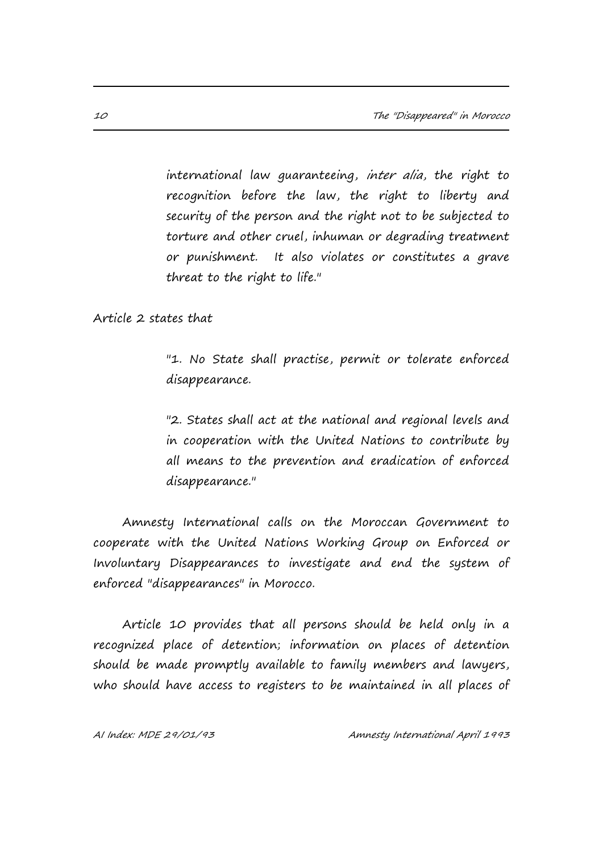international law guaranteeing, inter alia, the right to recognition before the law, the right to liberty and security of the person and the right not to be subjected to torture and other cruel, inhuman or degrading treatment or punishment. It also violates or constitutes a grave threat to the right to life."

Article 2 states that

"1. No State shall practise, permit or tolerate enforced disappearance.

"2. States shall act at the national and regional levels and in cooperation with the United Nations to contribute by all means to the prevention and eradication of enforced disappearance."

Amnesty International calls on the Moroccan Government to cooperate with the United Nations Working Group on Enforced or Involuntary Disappearances to investigate and end the system of enforced "disappearances" in Morocco.

Article 10 provides that all persons should be held only in a recognized place of detention; information on places of detention should be made promptly available to family members and lawyers, who should have access to registers to be maintained in all places of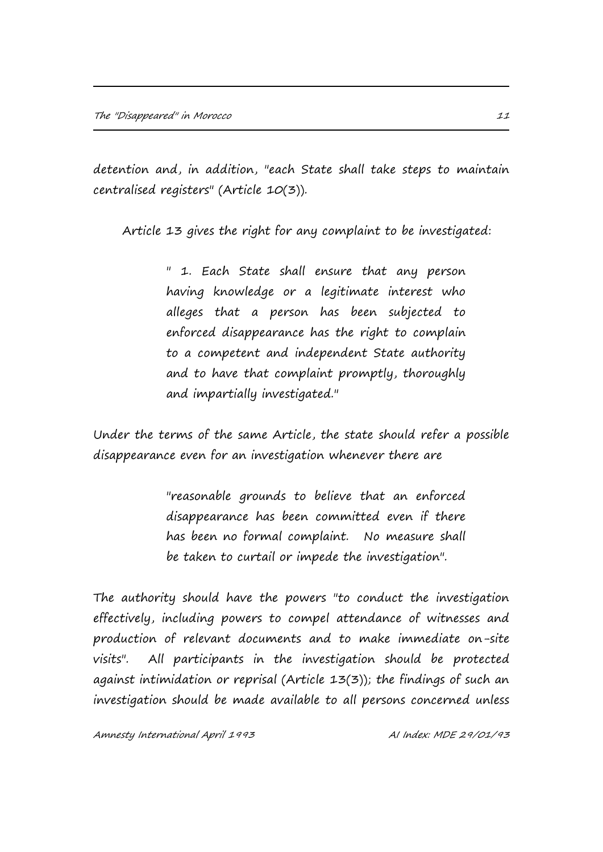detention and, in addition, "each State shall take steps to maintain centralised registers" (Article 10(3)).

Article 13 gives the right for any complaint to be investigated:

" 1. Each State shall ensure that any person having knowledge or a legitimate interest who alleges that a person has been subjected to enforced disappearance has the right to complain to a competent and independent State authority and to have that complaint promptly, thoroughly and impartially investigated."

Under the terms of the same Article, the state should refer a possible disappearance even for an investigation whenever there are

> "reasonable grounds to believe that an enforced disappearance has been committed even if there has been no formal complaint. No measure shall be taken to curtail or impede the investigation".

The authority should have the powers "to conduct the investigation effectively, including powers to compel attendance of witnesses and production of relevant documents and to make immediate on-site visits". All participants in the investigation should be protected against intimidation or reprisal (Article 13(3)); the findings of such an investigation should be made available to all persons concerned unless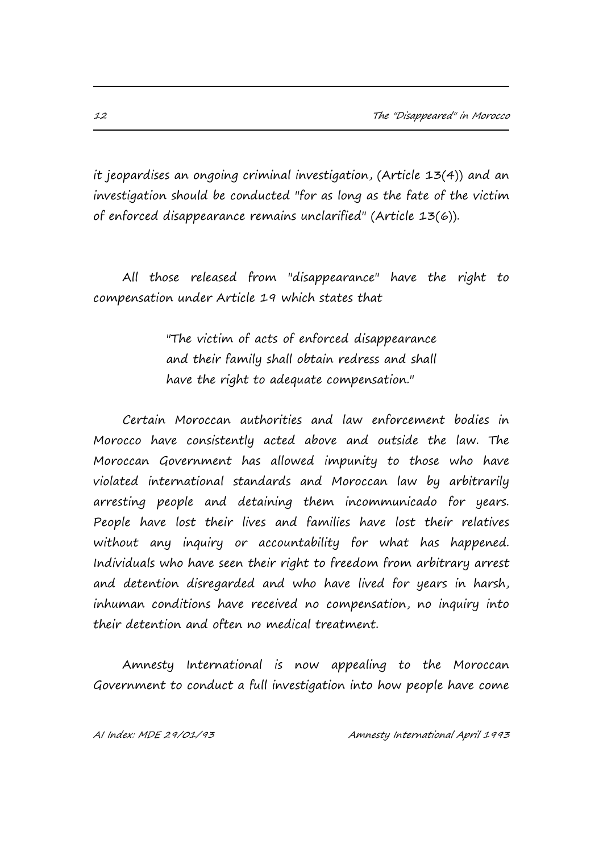it jeopardises an ongoing criminal investigation, (Article 13(4)) and an investigation should be conducted "for as long as the fate of the victim of enforced disappearance remains unclarified" (Article 13(6)).

All those released from "disappearance" have the right to compensation under Article 19 which states that

> "The victim of acts of enforced disappearance and their family shall obtain redress and shall have the right to adequate compensation."

Certain Moroccan authorities and law enforcement bodies in Morocco have consistently acted above and outside the law. The Moroccan Government has allowed impunity to those who have violated international standards and Moroccan law by arbitrarily arresting people and detaining them incommunicado for years. People have lost their lives and families have lost their relatives without any inquiry or accountability for what has happened. Individuals who have seen their right to freedom from arbitrary arrest and detention disregarded and who have lived for years in harsh, inhuman conditions have received no compensation, no inquiry into their detention and often no medical treatment.

Amnesty International is now appealing to the Moroccan Government to conduct a full investigation into how people have come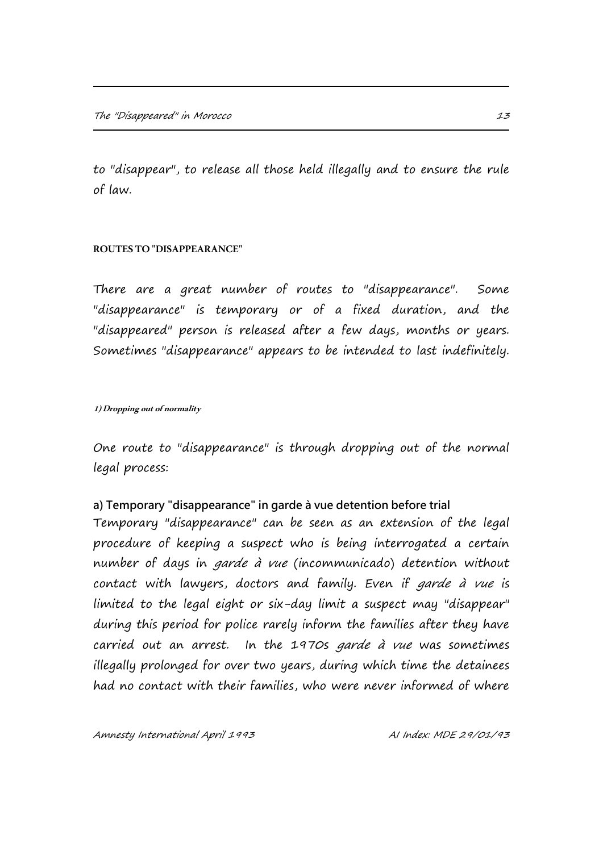to "disappear", to release all those held illegally and to ensure the rule of law.

### **ROUTES TO "DISAPPEARANCE"**

There are a great number of routes to "disappearance". Some "disappearance" is temporary or of a fixed duration, and the "disappeared" person is released after a few days, months or years. Sometimes "disappearance" appears to be intended to last indefinitely.

#### **1) Dropping out of normality**

One route to "disappearance" is through dropping out of the normal legal process:

## **a) Temporary "disappearance" in garde à vue detention before trial**

Temporary "disappearance" can be seen as an extension of the legal procedure of keeping a suspect who is being interrogated a certain number of days in garde à vue (incommunicado) detention without contact with lawyers, doctors and family. Even if *garde à vue* is limited to the legal eight or six-day limit a suspect may "disappear" during this period for police rarely inform the families after they have carried out an arrest. In the 1970s garde à vue was sometimes illegally prolonged for over two years, during which time the detainees had no contact with their families, who were never informed of where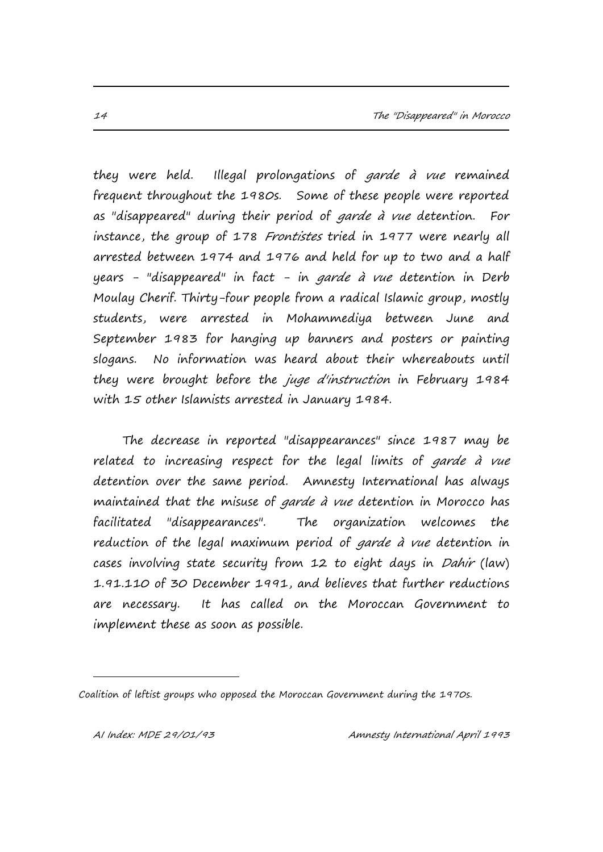they were held. Illegal prolongations of *garde à vue* remained frequent throughout the 1980s. Some of these people were reported as "disappeared" during their period of garde à vue detention. For instance, the group of 178 Frontistes tried in 1977 were nearly all arrested between 1974 and 1976 and held for up to two and a half years - "disappeared" in fact - in garde à vue detention in Derb Moulay Cherif. Thirty-four people from a radical Islamic group, mostly students, were arrested in Mohammediya between June and September 1983 for hanging up banners and posters or painting slogans. No information was heard about their whereabouts until they were brought before the *juge d'instruction* in February 1984 with 15 other Islamists arrested in January 1984.

The decrease in reported "disappearances" since 1987 may be related to increasing respect for the legal limits of *garde à vue* detention over the same period. Amnesty International has always maintained that the misuse of *garde à vue* detention in Morocco has facilitated "disappearances". The organization welcomes the reduction of the legal maximum period of *garde à vue* detention in cases involving state security from 12 to eight days in Dahir (law) 1.91.110 of 30 December 1991, and believes that further reductions are necessary. It has called on the Moroccan Government to implement these as soon as possible.

i.

Coalition of leftist groups who opposed the Moroccan Government during the 1970s.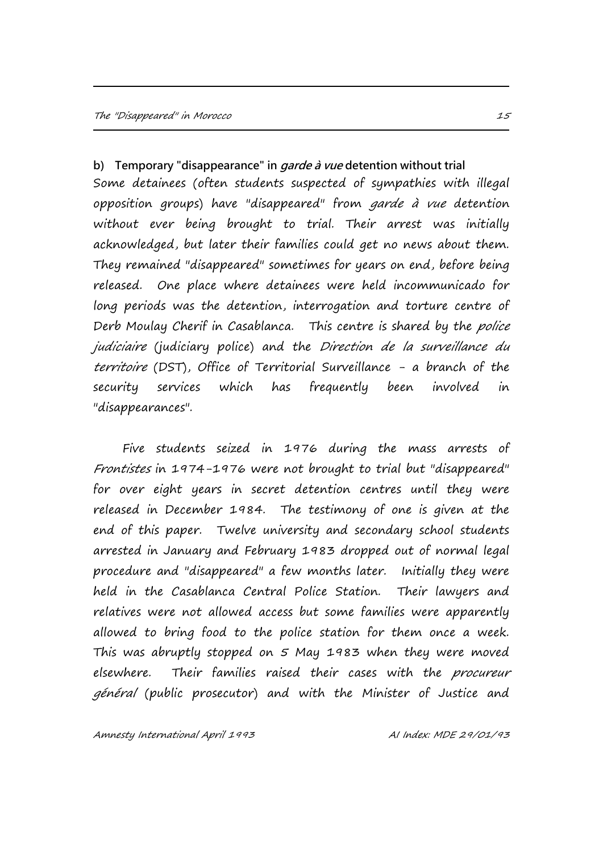**b) Temporary "disappearance" in garde à vue detention without trial** Some detainees (often students suspected of sympathies with illegal opposition groups) have "disappeared" from garde à vue detention without ever being brought to trial. Their arrest was initially acknowledged, but later their families could get no news about them. They remained "disappeared" sometimes for years on end, before being released. One place where detainees were held incommunicado for long periods was the detention, interrogation and torture centre of Derb Moulay Cherif in Casablanca. This centre is shared by the police judiciaire (judiciary police) and the Direction de la surveillance du territoire (DST), Office of Territorial Surveillance - a branch of the security services which has frequently been involved in "disappearances".

Five students seized in 1976 during the mass arrests of Frontistes in 1974-1976 were not brought to trial but "disappeared" for over eight years in secret detention centres until they were released in December 1984. The testimony of one is given at the end of this paper. Twelve university and secondary school students arrested in January and February 1983 dropped out of normal legal procedure and "disappeared" a few months later. Initially they were held in the Casablanca Central Police Station. Their lawyers and relatives were not allowed access but some families were apparently allowed to bring food to the police station for them once a week. This was abruptly stopped on 5 May 1983 when they were moved elsewhere. Their families raised their cases with the procureur général (public prosecutor) and with the Minister of Justice and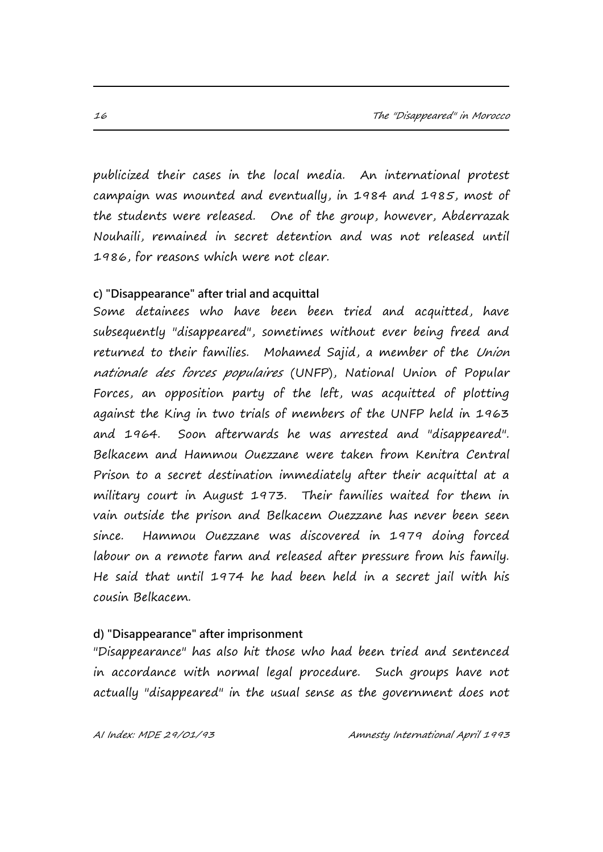publicized their cases in the local media. An international protest campaign was mounted and eventually, in 1984 and 1985, most of the students were released. One of the group, however, Abderrazak Nouhaili, remained in secret detention and was not released until 1986, for reasons which were not clear.

#### **c) "Disappearance" after trial and acquittal**

Some detainees who have been been tried and acquitted, have subsequently "disappeared", sometimes without ever being freed and returned to their families. Mohamed Sajid, a member of the Union nationale des forces populaires (UNFP), National Union of Popular Forces, an opposition party of the left, was acquitted of plotting against the King in two trials of members of the UNFP held in 1963 and 1964. Soon afterwards he was arrested and "disappeared". Belkacem and Hammou Ouezzane were taken from Kenitra Central Prison to a secret destination immediately after their acquittal at a military court in August 1973. Their families waited for them in vain outside the prison and Belkacem Ouezzane has never been seen since. Hammou Ouezzane was discovered in 1979 doing forced labour on a remote farm and released after pressure from his family. He said that until 1974 he had been held in a secret jail with his cousin Belkacem.

#### **d) "Disappearance" after imprisonment**

"Disappearance" has also hit those who had been tried and sentenced in accordance with normal legal procedure. Such groups have not actually "disappeared" in the usual sense as the government does not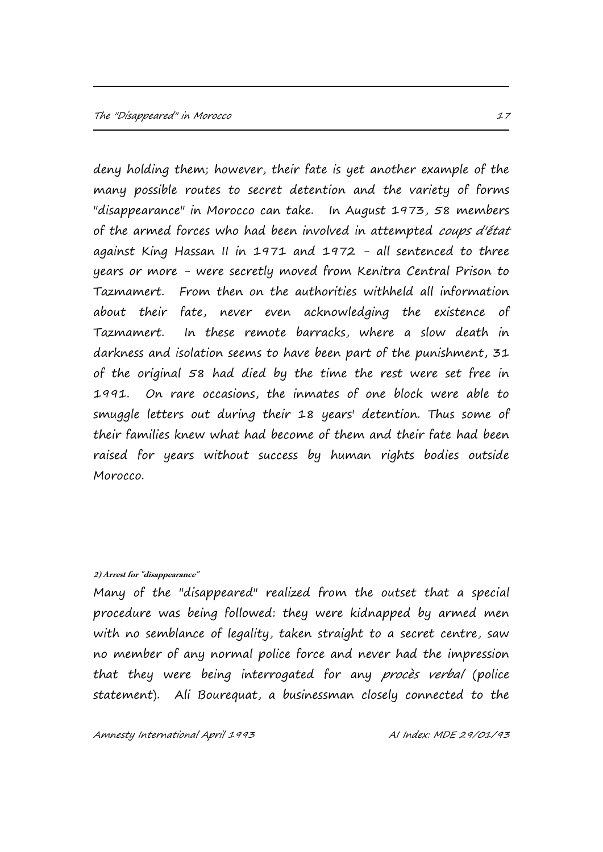deny holding them; however, their fate is yet another example of the many possible routes to secret detention and the variety of forms "disappearance" in Morocco can take. In August 1973, 58 members of the armed forces who had been involved in attempted coups d'état against King Hassan II in 1971 and 1972 - all sentenced to three years or more - were secretly moved from Kenitra Central Prison to Tazmamert. From then on the authorities withheld all information about their fate, never even acknowledging the existence of Tazmamert. In these remote barracks, where a slow death in darkness and isolation seems to have been part of the punishment, 31 of the original 58 had died by the time the rest were set free in 1991. On rare occasions, the inmates of one block were able to smuggle letters out during their 18 years' detention. Thus some of their families knew what had become of them and their fate had been raised for years without success by human rights bodies outside Morocco.

#### **2) Arrest for "disappearance"**

Many of the "disappeared" realized from the outset that a special procedure was being followed: they were kidnapped by armed men with no semblance of legality, taken straight to a secret centre, saw no member of any normal police force and never had the impression that they were being interrogated for any procès verbal (police statement). Ali Bourequat, a businessman closely connected to the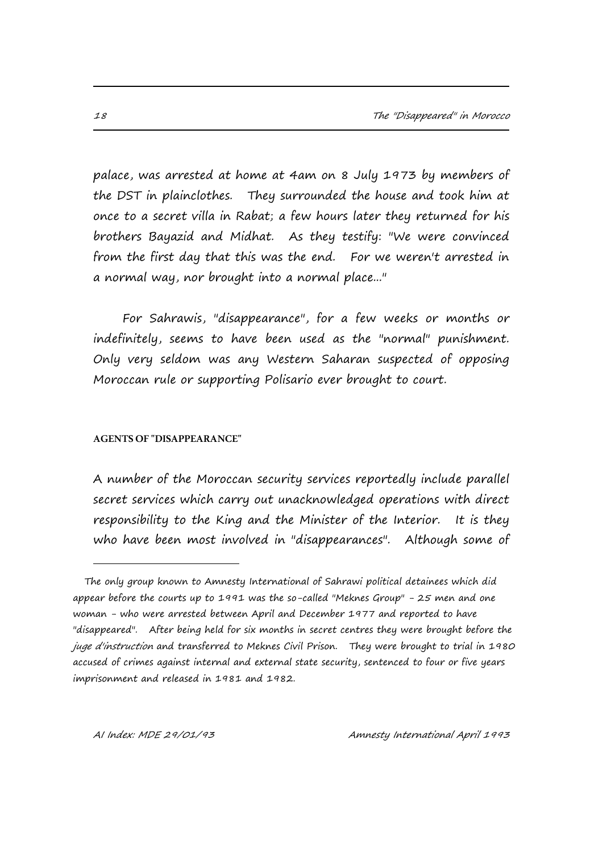palace, was arrested at home at 4am on 8 July 1973 by members of the DST in plainclothes. They surrounded the house and took him at once to a secret villa in Rabat; a few hours later they returned for his brothers Bayazid and Midhat. As they testify: "We were convinced from the first day that this was the end. For we weren't arrested in a normal way, nor brought into a normal place..."

For Sahrawis, "disappearance", for a few weeks or months or indefinitely, seems to have been used as the "normal" punishment. Only very seldom was any Western Saharan suspected of opposing Moroccan rule or supporting Polisario ever brought to court.

#### **AGENTS OF "DISAPPEARANCE"**

A number of the Moroccan security services reportedly include parallel secret services which carry out unacknowledged operations with direct responsibility to the King and the Minister of the Interior. It is they who have been most involved in "disappearances". Although some of

i.

The only group known to Amnesty International of Sahrawi political detainees which did appear before the courts up to 1991 was the so-called "Meknes Group" - 25 men and one woman - who were arrested between April and December 1977 and reported to have "disappeared". After being held for six months in secret centres they were brought before the juge d'instruction and transferred to Meknes Civil Prison. They were brought to trial in 1980 accused of crimes against internal and external state security, sentenced to four or five years imprisonment and released in 1981 and 1982.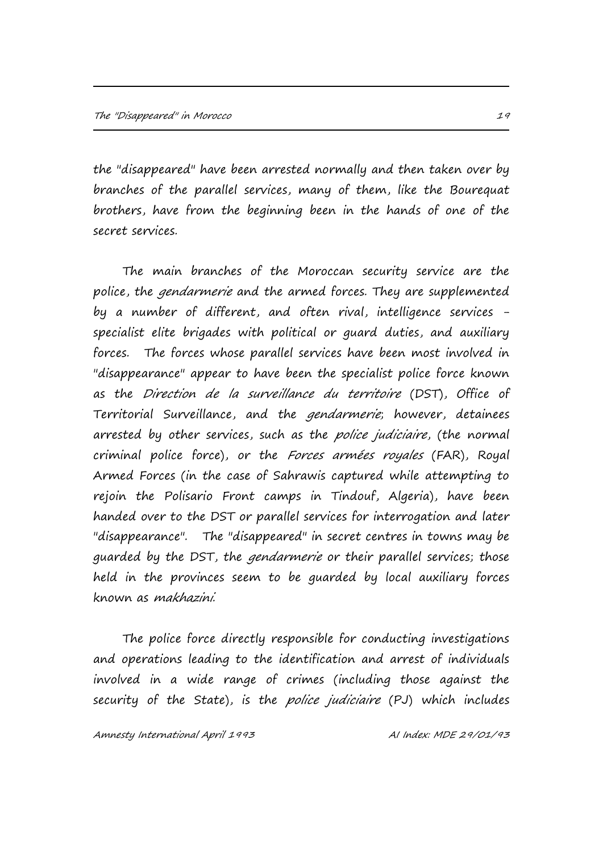the "disappeared" have been arrested normally and then taken over by branches of the parallel services, many of them, like the Bourequat brothers, have from the beginning been in the hands of one of the secret services.

The main branches of the Moroccan security service are the police, the *gendarmerie* and the armed forces. They are supplemented by a number of different, and often rival, intelligence services specialist elite brigades with political or guard duties, and auxiliary forces. The forces whose parallel services have been most involved in "disappearance" appear to have been the specialist police force known as the Direction de la surveillance du territoire (DST), Office of Territorial Surveillance, and the gendarmerie; however, detainees arrested by other services, such as the *police judiciaire*, (the normal criminal police force), or the Forces armées royales (FAR), Royal Armed Forces (in the case of Sahrawis captured while attempting to rejoin the Polisario Front camps in Tindouf, Algeria), have been handed over to the DST or parallel services for interrogation and later "disappearance". The "disappeared" in secret centres in towns may be guarded by the DST, the *gendarmerie* or their parallel services; those held in the provinces seem to be guarded by local auxiliary forces known as makhazini.

The police force directly responsible for conducting investigations and operations leading to the identification and arrest of individuals involved in a wide range of crimes (including those against the security of the State), is the *police judiciaire* (PJ) which includes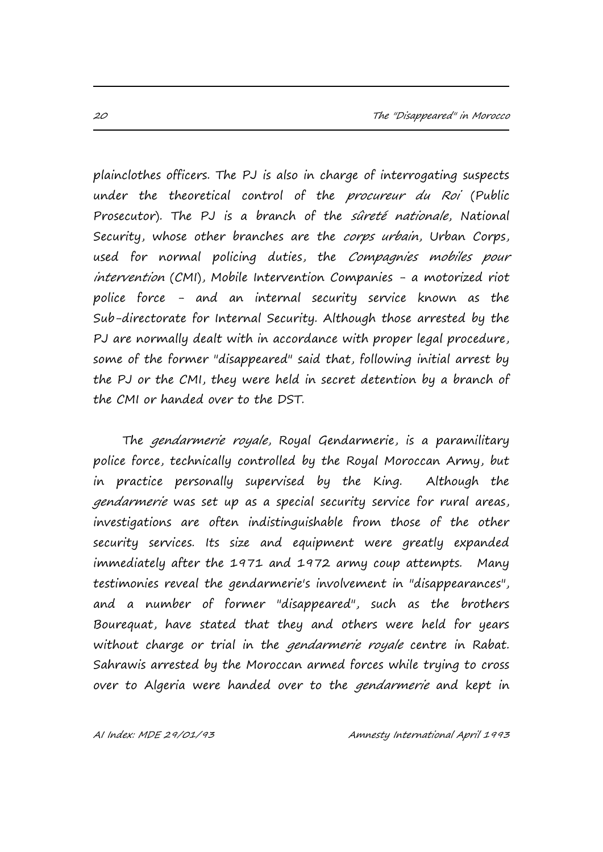plainclothes officers. The PJ is also in charge of interrogating suspects under the theoretical control of the procureur du Roi (Public Prosecutor). The PJ is a branch of the sûreté nationale, National Security, whose other branches are the corps urbain, Urban Corps, used for normal policing duties, the Compagnies mobiles pour intervention (CMI), Mobile Intervention Companies - a motorized riot police force - and an internal security service known as the Sub-directorate for Internal Security. Although those arrested by the PJ are normally dealt with in accordance with proper legal procedure, some of the former "disappeared" said that, following initial arrest by the PJ or the CMI, they were held in secret detention by a branch of the CMI or handed over to the DST.

The gendarmerie royale, Royal Gendarmerie, is a paramilitary police force, technically controlled by the Royal Moroccan Army, but in practice personally supervised by the King. Although the gendarmerie was set up as a special security service for rural areas, investigations are often indistinguishable from those of the other security services. Its size and equipment were greatly expanded immediately after the 1971 and 1972 army coup attempts. Many testimonies reveal the gendarmerie's involvement in "disappearances", and a number of former "disappeared", such as the brothers Bourequat, have stated that they and others were held for years without charge or trial in the *gendarmerie royale* centre in Rabat. Sahrawis arrested by the Moroccan armed forces while trying to cross over to Algeria were handed over to the gendarmerie and kept in

AI Index: MDE 29/01/93 Amnesty International April 1993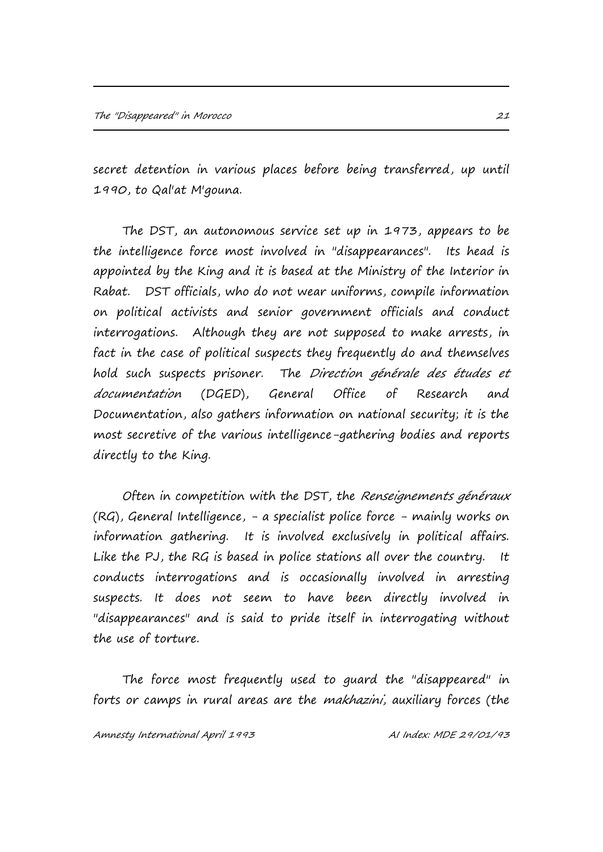secret detention in various places before being transferred, up until 1990, to Qal'at M'gouna.

The DST, an autonomous service set up in 1973, appears to be the intelligence force most involved in "disappearances". Its head is appointed by the King and it is based at the Ministry of the Interior in Rabat. DST officials, who do not wear uniforms, compile information on political activists and senior government officials and conduct interrogations. Although they are not supposed to make arrests, in fact in the case of political suspects they frequently do and themselves hold such suspects prisoner. The Direction générale des études et documentation (DGED), General Office of Research and Documentation, also gathers information on national security; it is the most secretive of the various intelligence-gathering bodies and reports directly to the King.

Often in competition with the DST, the Renseignements généraux (RG), General Intelligence, - a specialist police force - mainly works on information gathering. It is involved exclusively in political affairs. Like the PJ, the RG is based in police stations all over the country. It conducts interrogations and is occasionally involved in arresting suspects. It does not seem to have been directly involved in "disappearances" and is said to pride itself in interrogating without the use of torture.

The force most frequently used to guard the "disappeared" in forts or camps in rural areas are the *makhazini*, auxiliary forces (the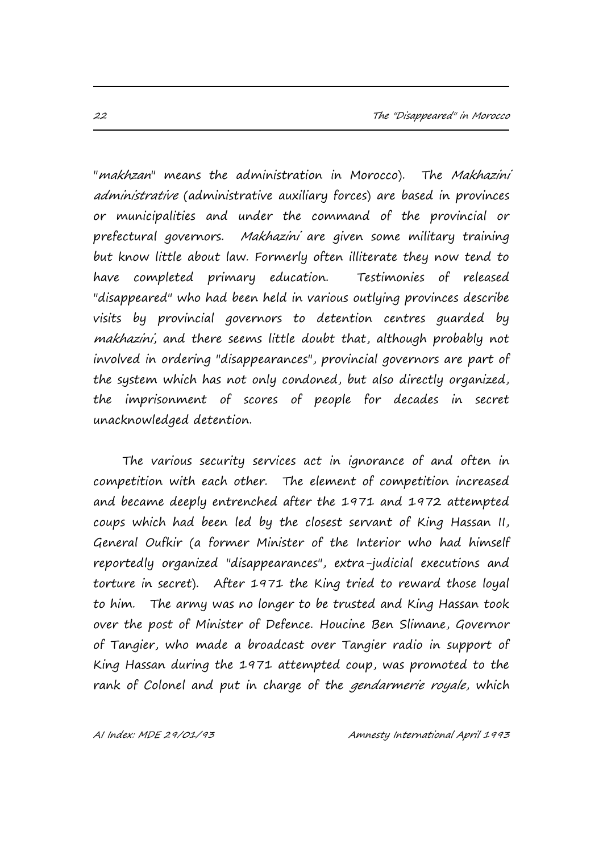"makhzan" means the administration in Morocco). The Makhazini administrative (administrative auxiliary forces) are based in provinces or municipalities and under the command of the provincial or prefectural governors. Makhazini are given some military training but know little about law. Formerly often illiterate they now tend to have completed primary education. Testimonies of released "disappeared" who had been held in various outlying provinces describe visits by provincial governors to detention centres guarded by makhazini, and there seems little doubt that, although probably not involved in ordering "disappearances", provincial governors are part of the system which has not only condoned, but also directly organized, the imprisonment of scores of people for decades in secret unacknowledged detention.

The various security services act in ignorance of and often in competition with each other. The element of competition increased and became deeply entrenched after the 1971 and 1972 attempted coups which had been led by the closest servant of King Hassan II, General Oufkir (a former Minister of the Interior who had himself reportedly organized "disappearances", extra-judicial executions and torture in secret). After 1971 the King tried to reward those loyal to him. The army was no longer to be trusted and King Hassan took over the post of Minister of Defence. Houcine Ben Slimane, Governor of Tangier, who made a broadcast over Tangier radio in support of King Hassan during the 1971 attempted coup, was promoted to the rank of Colonel and put in charge of the *gendarmerie royale*, which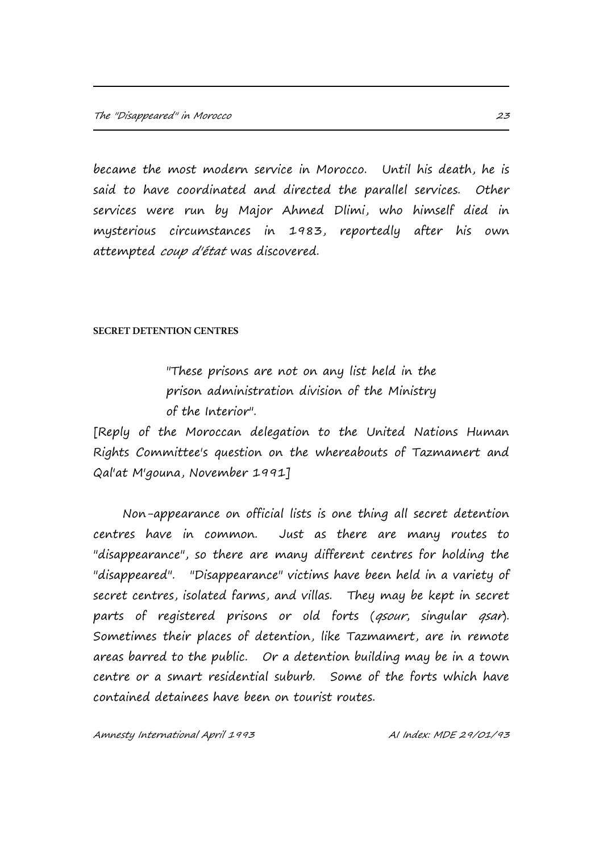became the most modern service in Morocco. Until his death, he is said to have coordinated and directed the parallel services. Other services were run by Major Ahmed Dlimi, who himself died in mysterious circumstances in 1983, reportedly after his own attempted coup d'état was discovered.

#### **SECRET DETENTION CENTRES**

"These prisons are not on any list held in the prison administration division of the Ministry of the Interior".

[Reply of the Moroccan delegation to the United Nations Human Rights Committee's question on the whereabouts of Tazmamert and Qal'at M'gouna, November 1991]

Non-appearance on official lists is one thing all secret detention centres have in common. Just as there are many routes to "disappearance", so there are many different centres for holding the "disappeared". "Disappearance" victims have been held in a variety of secret centres, isolated farms, and villas. They may be kept in secret parts of registered prisons or old forts (gsour, singular gsar). Sometimes their places of detention, like Tazmamert, are in remote areas barred to the public. Or a detention building may be in a town centre or a smart residential suburb. Some of the forts which have contained detainees have been on tourist routes.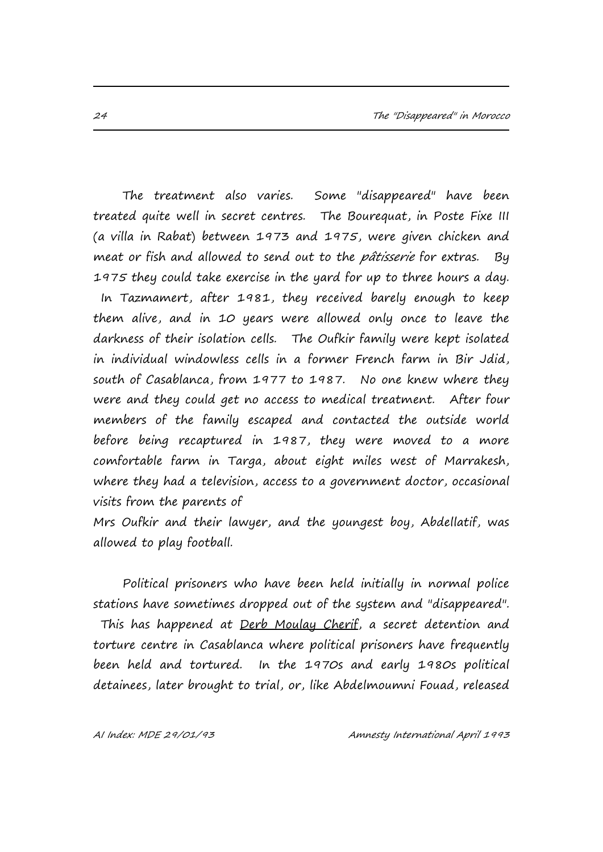The treatment also varies. Some "disappeared" have been treated quite well in secret centres. The Bourequat, in Poste Fixe III (a villa in Rabat) between 1973 and 1975, were given chicken and meat or fish and allowed to send out to the *pâtisserie* for extras. By 1975 they could take exercise in the yard for up to three hours a day. In Tazmamert, after 1981, they received barely enough to keep them alive, and in 10 years were allowed only once to leave the darkness of their isolation cells. The Oufkir family were kept isolated in individual windowless cells in a former French farm in Bir Jdid, south of Casablanca, from 1977 to 1987. No one knew where they were and they could get no access to medical treatment. After four members of the family escaped and contacted the outside world before being recaptured in 1987, they were moved to a more comfortable farm in Targa, about eight miles west of Marrakesh, where they had a television, access to a government doctor, occasional visits from the parents of

Mrs Oufkir and their lawyer, and the youngest boy, Abdellatif, was allowed to play football.

Political prisoners who have been held initially in normal police stations have sometimes dropped out of the system and "disappeared". This has happened at Derb Moulay Cherif, a secret detention and torture centre in Casablanca where political prisoners have frequently been held and tortured. In the 1970s and early 1980s political detainees, later brought to trial, or, like Abdelmoumni Fouad, released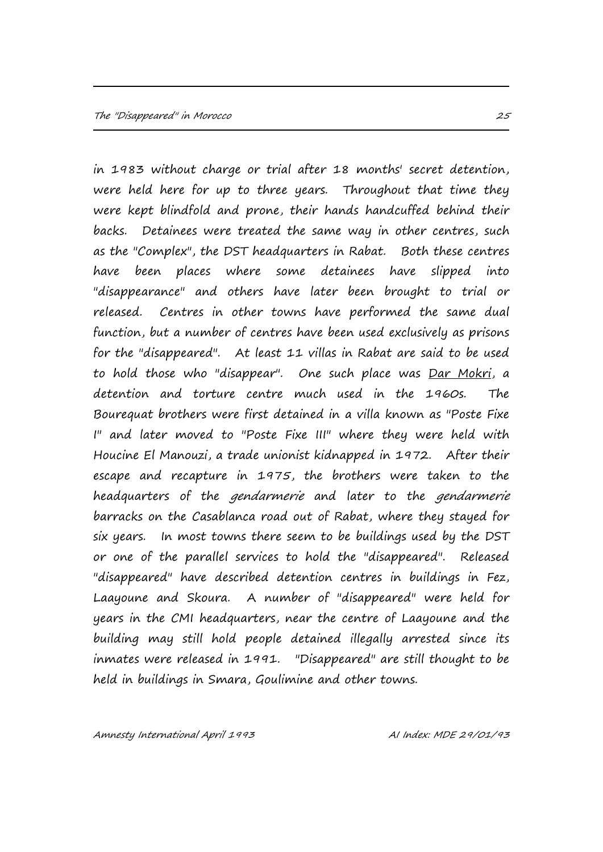in 1983 without charge or trial after 18 months' secret detention, were held here for up to three years. Throughout that time they were kept blindfold and prone, their hands handcuffed behind their backs. Detainees were treated the same way in other centres, such as the "Complex", the DST headquarters in Rabat. Both these centres have been places where some detainees have slipped into "disappearance" and others have later been brought to trial or released. Centres in other towns have performed the same dual function, but a number of centres have been used exclusively as prisons for the "disappeared". At least 11 villas in Rabat are said to be used to hold those who "disappear". One such place was Dar Mokri, a detention and torture centre much used in the 1960s. The Bourequat brothers were first detained in a villa known as "Poste Fixe I" and later moved to "Poste Fixe III" where they were held with Houcine El Manouzi, a trade unionist kidnapped in 1972. After their escape and recapture in 1975, the brothers were taken to the headquarters of the *gendarmerie* and later to the *gendarmerie* barracks on the Casablanca road out of Rabat, where they stayed for six years. In most towns there seem to be buildings used by the DST or one of the parallel services to hold the "disappeared". Released "disappeared" have described detention centres in buildings in Fez, Laayoune and Skoura. A number of "disappeared" were held for years in the CMI headquarters, near the centre of Laayoune and the building may still hold people detained illegally arrested since its inmates were released in 1991. "Disappeared" are still thought to be held in buildings in Smara, Goulimine and other towns.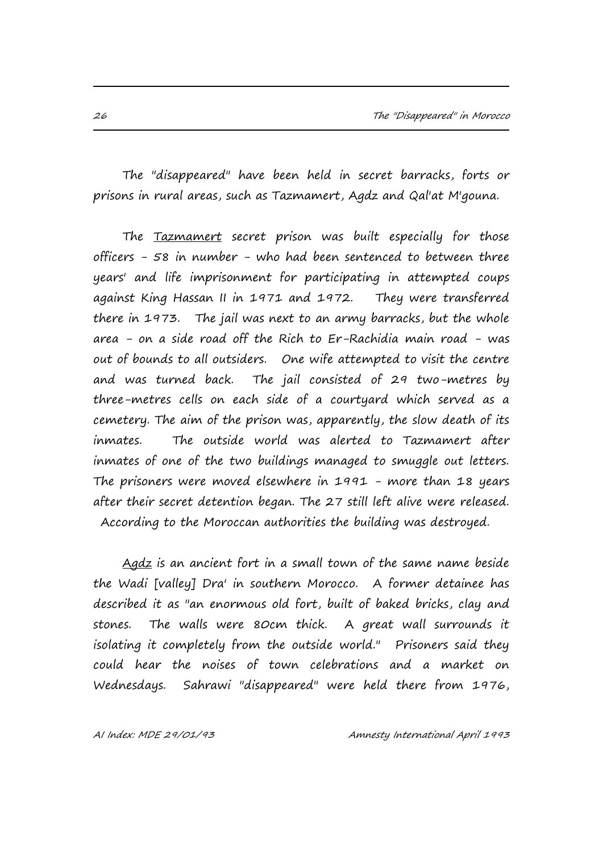The "disappeared" have been held in secret barracks, forts or prisons in rural areas, such as Tazmamert, Agdz and Qal'at M'gouna.

The Tazmamert secret prison was built especially for those officers - 58 in number - who had been sentenced to between three years' and life imprisonment for participating in attempted coups against King Hassan II in 1971 and 1972. They were transferred there in 1973. The jail was next to an army barracks, but the whole area - on a side road off the Rich to Er-Rachidia main road - was out of bounds to all outsiders. One wife attempted to visit the centre and was turned back. The jail consisted of 29 two-metres by three-metres cells on each side of a courtyard which served as a cemetery. The aim of the prison was, apparently, the slow death of its inmates. The outside world was alerted to Tazmamert after inmates of one of the two buildings managed to smuggle out letters. The prisoners were moved elsewhere in 1991 - more than 18 years after their secret detention began. The 27 still left alive were released. According to the Moroccan authorities the building was destroyed.

Agdz is an ancient fort in a small town of the same name beside the Wadi [valley] Dra' in southern Morocco. A former detainee has described it as "an enormous old fort, built of baked bricks, clay and stones. The walls were 80cm thick. A great wall surrounds it isolating it completely from the outside world." Prisoners said they could hear the noises of town celebrations and a market on Wednesdays. Sahrawi "disappeared" were held there from 1976,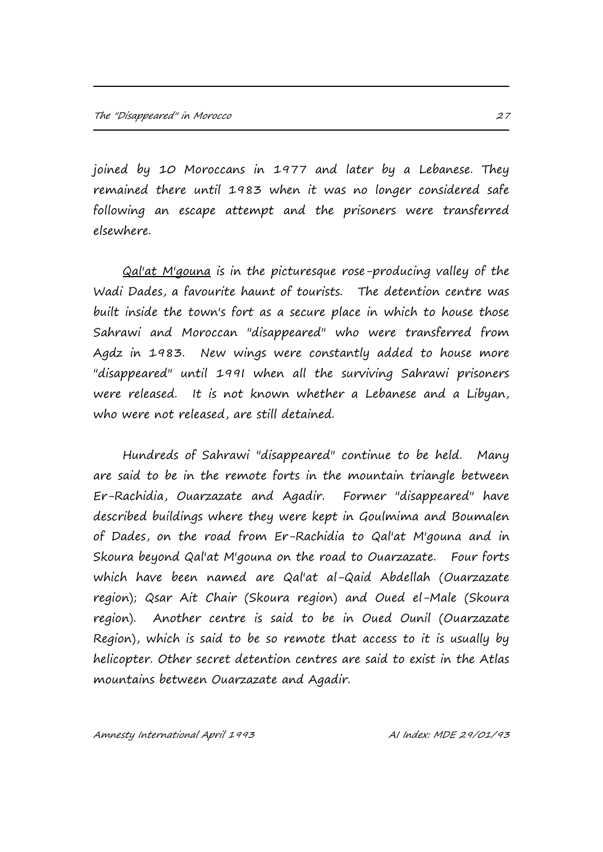joined by 10 Moroccans in 1977 and later by a Lebanese. They remained there until 1983 when it was no longer considered safe following an escape attempt and the prisoners were transferred elsewhere.

Qal'at M'gouna is in the picturesque rose-producing valley of the Wadi Dades, a favourite haunt of tourists. The detention centre was built inside the town's fort as a secure place in which to house those Sahrawi and Moroccan "disappeared" who were transferred from Agdz in 1983. New wings were constantly added to house more "disappeared" until 199I when all the surviving Sahrawi prisoners were released. It is not known whether a Lebanese and a Libyan, who were not released, are still detained.

Hundreds of Sahrawi "disappeared" continue to be held. Many are said to be in the remote forts in the mountain triangle between Er-Rachidia, Ouarzazate and Agadir. Former "disappeared" have described buildings where they were kept in Goulmima and Boumalen of Dades, on the road from Er-Rachidia to Qal'at M'gouna and in Skoura beyond Qal'at M'gouna on the road to Ouarzazate. Four forts which have been named are Qal'at al-Qaid Abdellah (Ouarzazate region); Qsar Ait Chair (Skoura region) and Oued el-Male (Skoura region). Another centre is said to be in Oued Ounil (Ouarzazate Region), which is said to be so remote that access to it is usually by helicopter. Other secret detention centres are said to exist in the Atlas mountains between Ouarzazate and Agadir.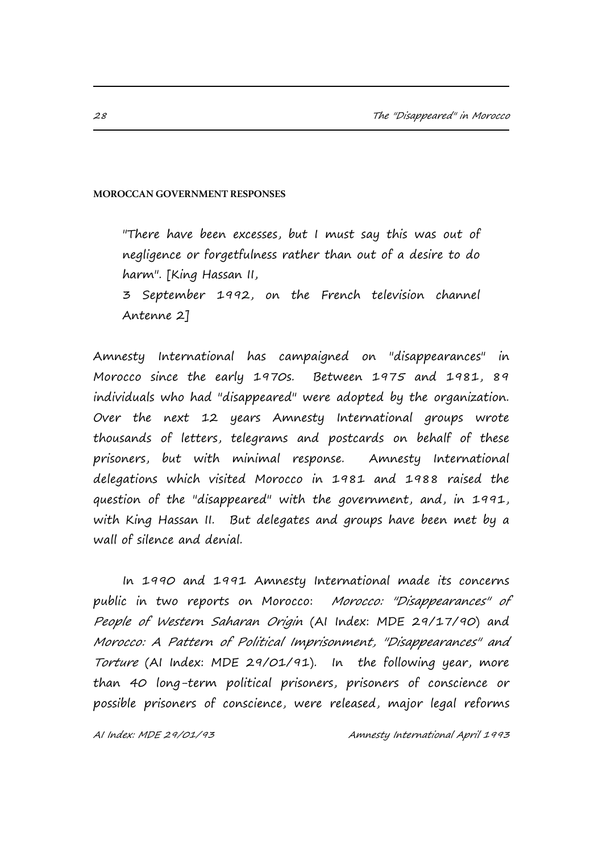#### **MOROCCAN GOVERNMENT RESPONSES**

"There have been excesses, but I must say this was out of negligence or forgetfulness rather than out of a desire to do harm". [King Hassan II, 3 September 1992, on the French television channel Antenne 2]

Amnesty International has campaigned on "disappearances" in Morocco since the early 1970s. Between 1975 and 1981, 89 individuals who had "disappeared" were adopted by the organization. Over the next 12 years Amnesty International groups wrote thousands of letters, telegrams and postcards on behalf of these prisoners, but with minimal response. Amnesty International delegations which visited Morocco in 1981 and 1988 raised the question of the "disappeared" with the government, and, in 1991, with King Hassan II. But delegates and groups have been met by a wall of silence and denial.

In 1990 and 1991 Amnesty International made its concerns public in two reports on Morocco: Morocco: "Disappearances" of People of Western Saharan Origin (AI Index: MDE 29/17/90) and Morocco: A Pattern of Political Imprisonment, "Disappearances" and Torture (AI Index: MDE 29/01/91). In the following year, more than 40 long-term political prisoners, prisoners of conscience or possible prisoners of conscience, were released, major legal reforms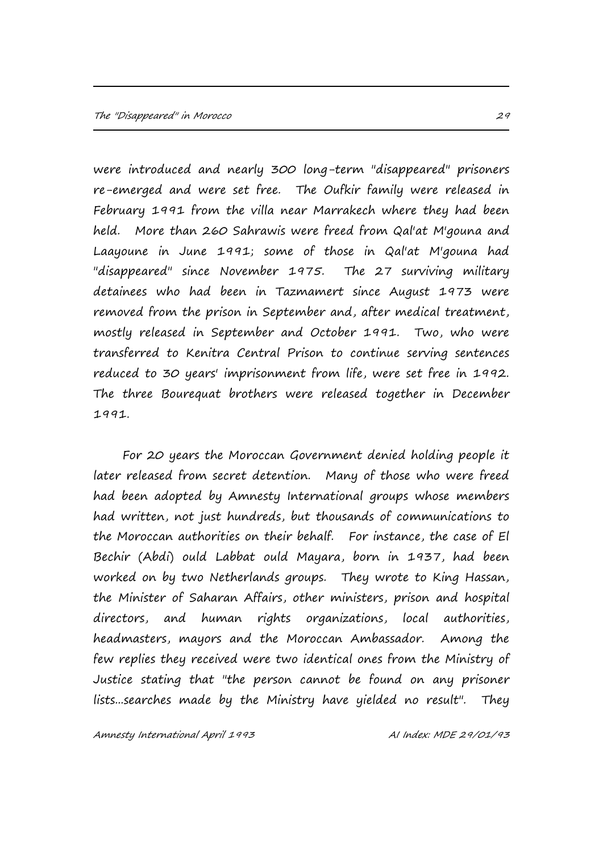were introduced and nearly 300 long-term "disappeared" prisoners re-emerged and were set free. The Oufkir family were released in February 1991 from the villa near Marrakech where they had been held. More than 260 Sahrawis were freed from Qal'at M'gouna and Laayoune in June 1991; some of those in Qal'at M'gouna had "disappeared" since November 1975. The 27 surviving military detainees who had been in Tazmamert since August 1973 were removed from the prison in September and, after medical treatment, mostly released in September and October 1991. Two, who were transferred to Kenitra Central Prison to continue serving sentences reduced to 30 years' imprisonment from life, were set free in 1992. The three Bourequat brothers were released together in December 1991.

For 20 years the Moroccan Government denied holding people it later released from secret detention. Many of those who were freed had been adopted by Amnesty International groups whose members had written, not just hundreds, but thousands of communications to the Moroccan authorities on their behalf. For instance, the case of El Bechir (Abdi) ould Labbat ould Mayara, born in 1937, had been worked on by two Netherlands groups. They wrote to King Hassan, the Minister of Saharan Affairs, other ministers, prison and hospital directors, and human rights organizations, local authorities, headmasters, mayors and the Moroccan Ambassador. Among the few replies they received were two identical ones from the Ministry of Justice stating that "the person cannot be found on any prisoner lists...searches made by the Ministry have yielded no result". They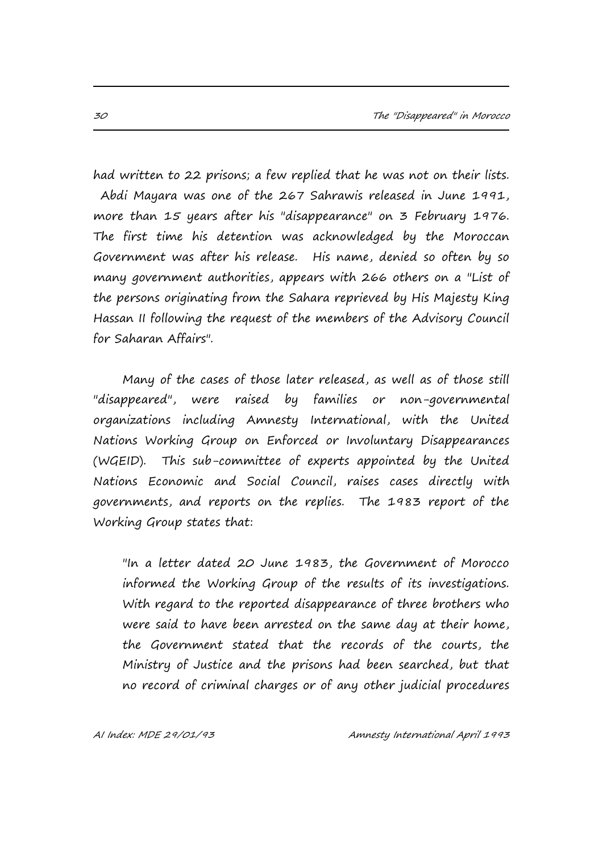had written to 22 prisons; a few replied that he was not on their lists. Abdi Mayara was one of the 267 Sahrawis released in June 1991, more than 15 years after his "disappearance" on 3 February 1976. The first time his detention was acknowledged by the Moroccan Government was after his release. His name, denied so often by so many government authorities, appears with 266 others on a "List of the persons originating from the Sahara reprieved by His Majesty King Hassan II following the request of the members of the Advisory Council for Saharan Affairs".

Many of the cases of those later released, as well as of those still "disappeared", were raised by families or non-governmental organizations including Amnesty International, with the United Nations Working Group on Enforced or Involuntary Disappearances (WGEID). This sub-committee of experts appointed by the United Nations Economic and Social Council, raises cases directly with governments, and reports on the replies. The 1983 report of the Working Group states that:

"In a letter dated 20 June 1983, the Government of Morocco informed the Working Group of the results of its investigations. With regard to the reported disappearance of three brothers who were said to have been arrested on the same day at their home, the Government stated that the records of the courts, the Ministry of Justice and the prisons had been searched, but that no record of criminal charges or of any other judicial procedures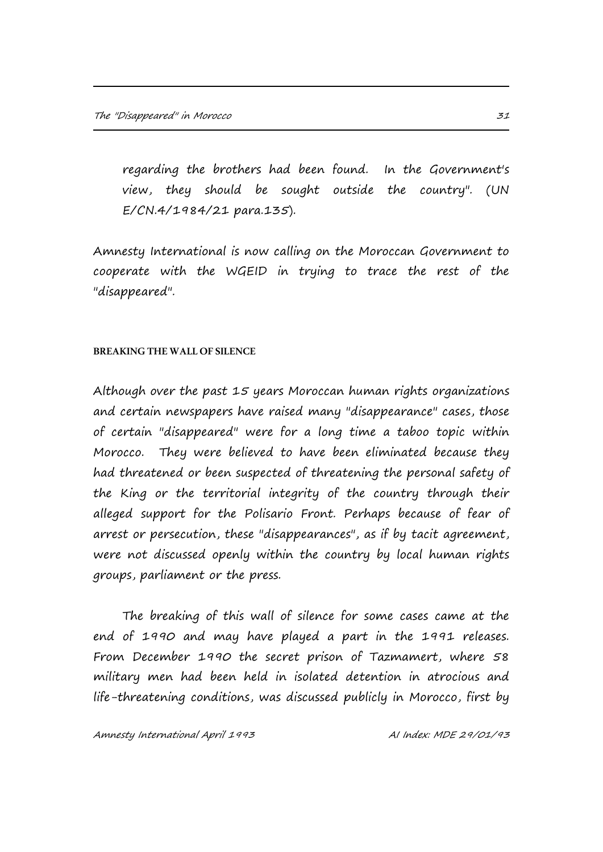regarding the brothers had been found. In the Government's view, they should be sought outside the country". (UN E/CN.4/1984/21 para.135).

Amnesty International is now calling on the Moroccan Government to cooperate with the WGEID in trying to trace the rest of the "disappeared".

#### **BREAKING THE WALL OF SILENCE**

Although over the past 15 years Moroccan human rights organizations and certain newspapers have raised many "disappearance" cases, those of certain "disappeared" were for a long time a taboo topic within Morocco. They were believed to have been eliminated because they had threatened or been suspected of threatening the personal safety of the King or the territorial integrity of the country through their alleged support for the Polisario Front. Perhaps because of fear of arrest or persecution, these "disappearances", as if by tacit agreement, were not discussed openly within the country by local human rights groups, parliament or the press.

The breaking of this wall of silence for some cases came at the end of 1990 and may have played a part in the 1991 releases. From December 1990 the secret prison of Tazmamert, where 58 military men had been held in isolated detention in atrocious and life-threatening conditions, was discussed publicly in Morocco, first by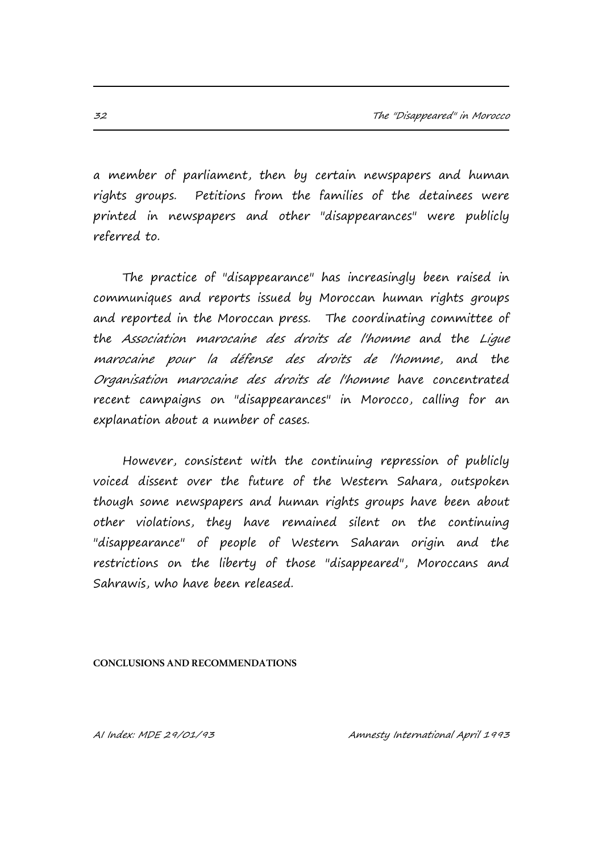a member of parliament, then by certain newspapers and human rights groups. Petitions from the families of the detainees were printed in newspapers and other "disappearances" were publicly referred to.

The practice of "disappearance" has increasingly been raised in communiques and reports issued by Moroccan human rights groups and reported in the Moroccan press. The coordinating committee of the Association marocaine des droits de l'homme and the Ligue marocaine pour la défense des droits de l'homme, and the Organisation marocaine des droits de l'homme have concentrated recent campaigns on "disappearances" in Morocco, calling for an explanation about a number of cases.

However, consistent with the continuing repression of publicly voiced dissent over the future of the Western Sahara, outspoken though some newspapers and human rights groups have been about other violations, they have remained silent on the continuing "disappearance" of people of Western Saharan origin and the restrictions on the liberty of those "disappeared", Moroccans and Sahrawis, who have been released.

#### **CONCLUSIONS AND RECOMMENDATIONS**

AI Index: MDE 29/01/93 Amnesty International April 1993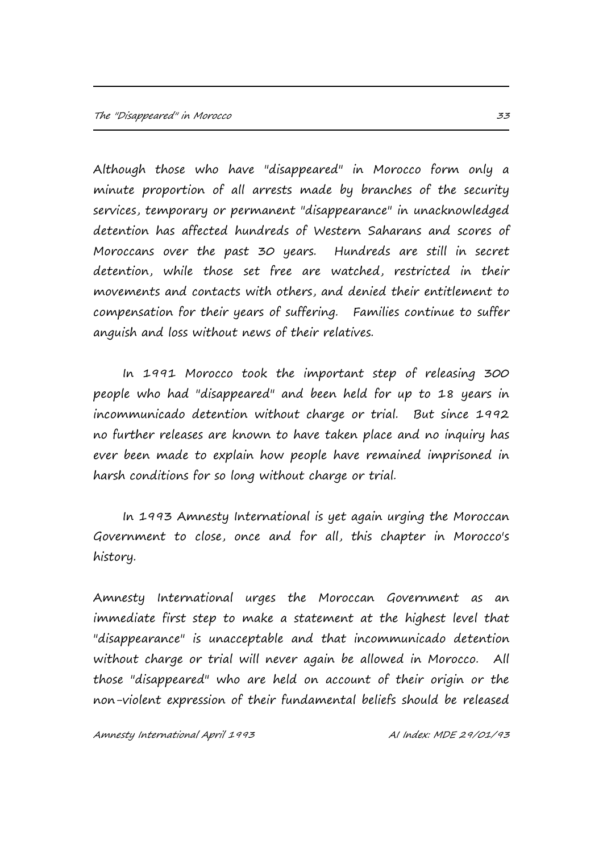Although those who have "disappeared" in Morocco form only a minute proportion of all arrests made by branches of the security services, temporary or permanent "disappearance" in unacknowledged detention has affected hundreds of Western Saharans and scores of Moroccans over the past 30 years. Hundreds are still in secret detention, while those set free are watched, restricted in their movements and contacts with others, and denied their entitlement to compensation for their years of suffering. Families continue to suffer anguish and loss without news of their relatives.

In 1991 Morocco took the important step of releasing 300 people who had "disappeared" and been held for up to 18 years in incommunicado detention without charge or trial. But since 1992 no further releases are known to have taken place and no inquiry has ever been made to explain how people have remained imprisoned in harsh conditions for so long without charge or trial.

In 1993 Amnesty International is yet again urging the Moroccan Government to close, once and for all, this chapter in Morocco's history.

Amnesty International urges the Moroccan Government as an immediate first step to make a statement at the highest level that "disappearance" is unacceptable and that incommunicado detention without charge or trial will never again be allowed in Morocco. All those "disappeared" who are held on account of their origin or the non-violent expression of their fundamental beliefs should be released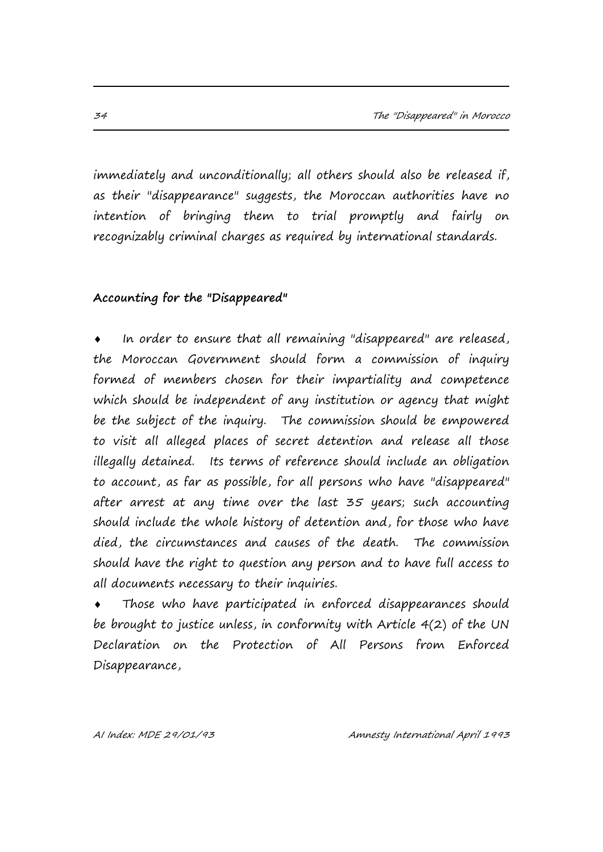immediately and unconditionally; all others should also be released if, as their "disappearance" suggests, the Moroccan authorities have no intention of bringing them to trial promptly and fairly on recognizably criminal charges as required by international standards.

### **Accounting for the "Disappeared"**

 In order to ensure that all remaining "disappeared" are released, the Moroccan Government should form a commission of inquiry formed of members chosen for their impartiality and competence which should be independent of any institution or agency that might be the subject of the inquiry. The commission should be empowered to visit all alleged places of secret detention and release all those illegally detained. Its terms of reference should include an obligation to account, as far as possible, for all persons who have "disappeared" after arrest at any time over the last 35 years; such accounting should include the whole history of detention and, for those who have died, the circumstances and causes of the death. The commission should have the right to question any person and to have full access to all documents necessary to their inquiries.

 Those who have participated in enforced disappearances should be brought to justice unless, in conformity with Article 4(2) of the UN Declaration on the Protection of All Persons from Enforced Disappearance,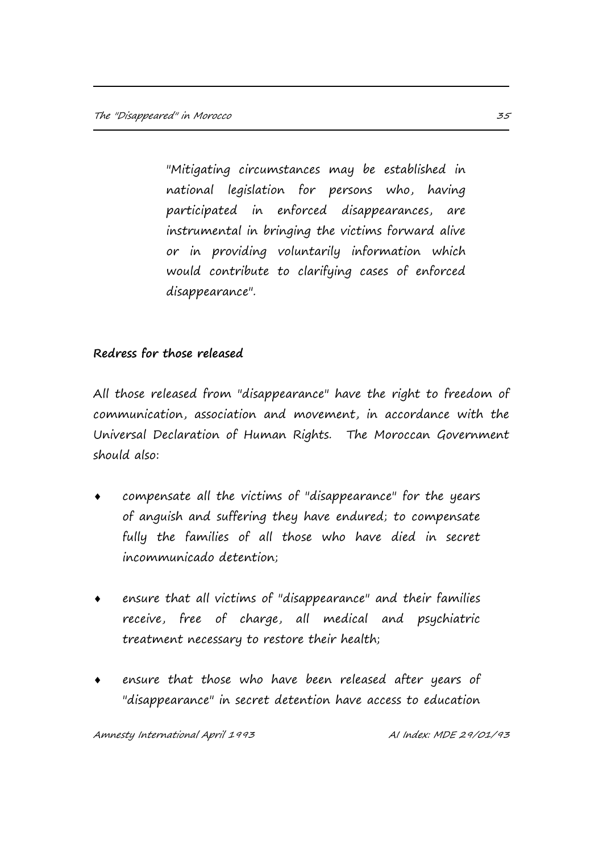"Mitigating circumstances may be established in national legislation for persons who, having participated in enforced disappearances, are instrumental in bringing the victims forward alive or in providing voluntarily information which would contribute to clarifying cases of enforced disappearance".

## **Redress for those released**

All those released from "disappearance" have the right to freedom of communication, association and movement, in accordance with the Universal Declaration of Human Rights. The Moroccan Government should also:

- compensate all the victims of "disappearance" for the years of anguish and suffering they have endured; to compensate fully the families of all those who have died in secret incommunicado detention;
- ensure that all victims of "disappearance" and their families receive, free of charge, all medical and psychiatric treatment necessary to restore their health;
- ensure that those who have been released after years of "disappearance" in secret detention have access to education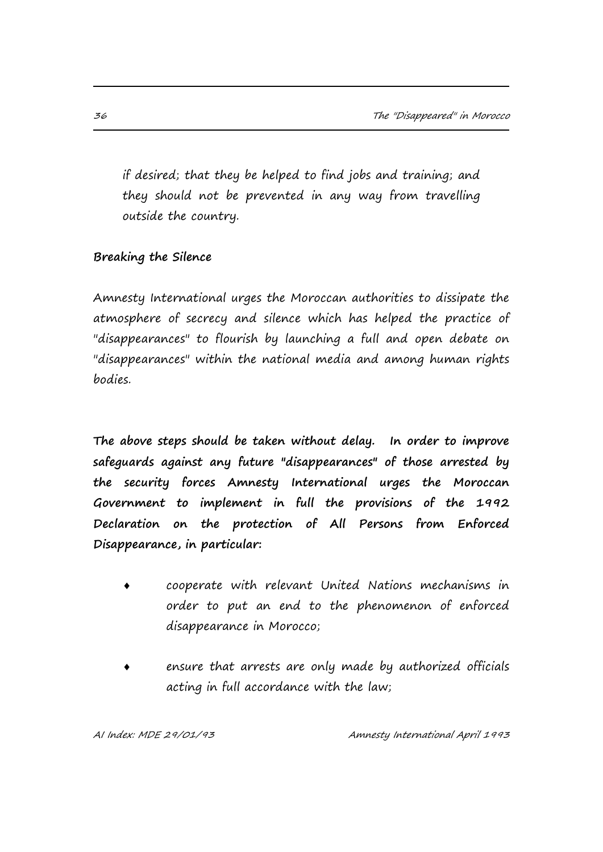if desired; that they be helped to find jobs and training; and they should not be prevented in any way from travelling outside the country.

## **Breaking the Silence**

Amnesty International urges the Moroccan authorities to dissipate the atmosphere of secrecy and silence which has helped the practice of "disappearances" to flourish by launching a full and open debate on "disappearances" within the national media and among human rights bodies.

**The above steps should be taken without delay. In order to improve safeguards against any future "disappearances" of those arrested by the security forces Amnesty International urges the Moroccan Government to implement in full the provisions of the 1992 Declaration on the protection of All Persons from Enforced Disappearance, in particular:**

- cooperate with relevant United Nations mechanisms in order to put an end to the phenomenon of enforced disappearance in Morocco;
- ensure that arrests are only made by authorized officials acting in full accordance with the law;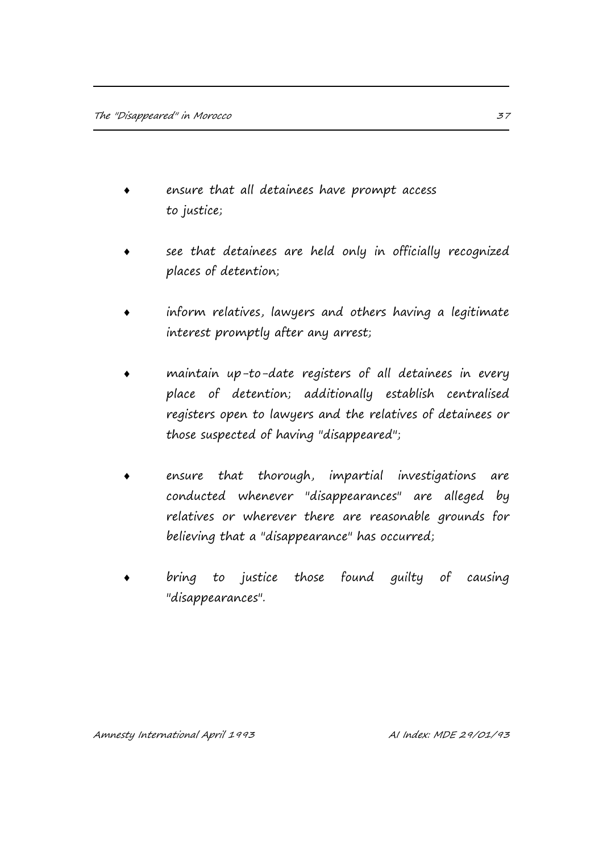- ensure that all detainees have prompt access to justice;
- see that detainees are held only in officially recognized places of detention;
- inform relatives, lawyers and others having a legitimate interest promptly after any arrest;
- maintain up-to-date registers of all detainees in every place of detention; additionally establish centralised registers open to lawyers and the relatives of detainees or those suspected of having "disappeared";
- ensure that thorough, impartial investigations are conducted whenever "disappearances" are alleged by relatives or wherever there are reasonable grounds for believing that a "disappearance" has occurred;
- bring to justice those found guilty of causing "disappearances".

Amnesty International April 1993 March 2010 11 Al Index: MDE 29/01/93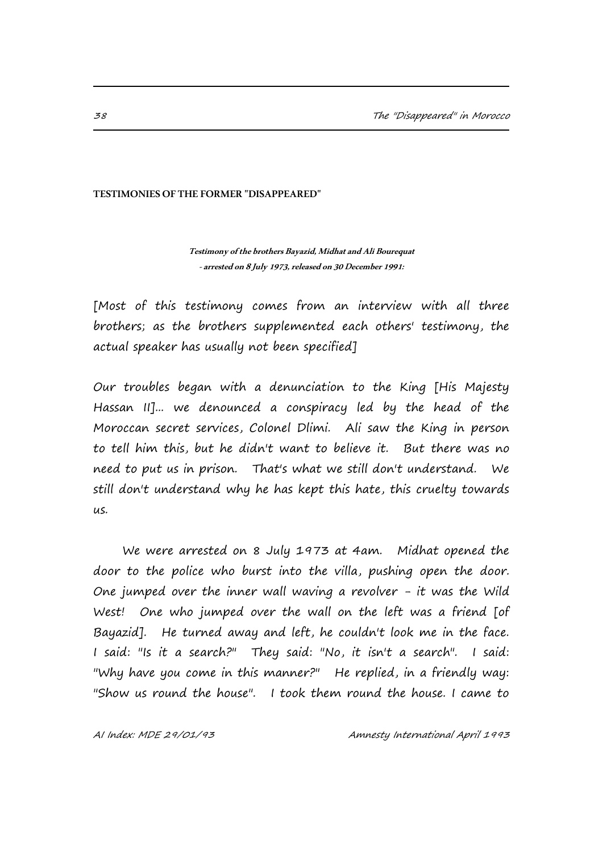#### **TESTIMONIES OF THE FORMER "DISAPPEARED"**

**Testimony of the brothers Bayazid, Midhat and Ali Bourequat -arrested on 8 July 1973, released on 30 December 1991:**

[Most of this testimony comes from an interview with all three brothers; as the brothers supplemented each others' testimony, the actual speaker has usually not been specified]

Our troubles began with a denunciation to the King [His Majesty Hassan II]... we denounced a conspiracy led by the head of the Moroccan secret services, Colonel Dlimi. Ali saw the King in person to tell him this, but he didn't want to believe it. But there was no need to put us in prison. That's what we still don't understand. We still don't understand why he has kept this hate, this cruelty towards us.

We were arrested on 8 July 1973 at 4am. Midhat opened the door to the police who burst into the villa, pushing open the door. One jumped over the inner wall waving a revolver - it was the Wild West! One who jumped over the wall on the left was a friend [of Bayazid]. He turned away and left, he couldn't look me in the face. I said: "Is it a search?" They said: "No, it isn't a search". I said: "Why have you come in this manner?" He replied, in a friendly way: "Show us round the house". I took them round the house. I came to

AI Index: MDE 29/01/93 Amnesty International April 1993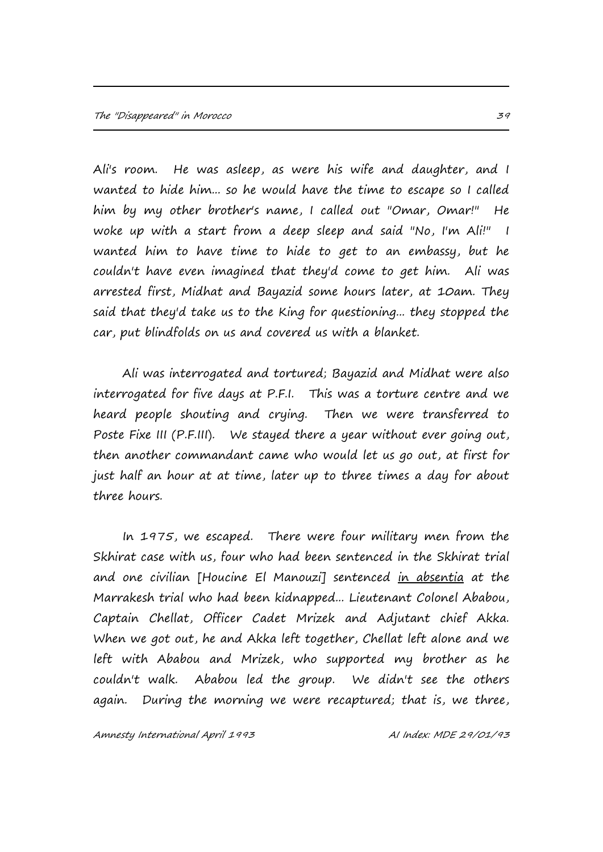Ali's room. He was asleep, as were his wife and daughter, and I wanted to hide him... so he would have the time to escape so I called him by my other brother's name, I called out "Omar, Omar!" He woke up with a start from a deep sleep and said "No, I'm Ali!" I wanted him to have time to hide to get to an embassy, but he couldn't have even imagined that they'd come to get him. Ali was arrested first, Midhat and Bayazid some hours later, at 10am. They said that they'd take us to the King for questioning... they stopped the car, put blindfolds on us and covered us with a blanket.

Ali was interrogated and tortured; Bayazid and Midhat were also interrogated for five days at P.F.I. This was a torture centre and we heard people shouting and crying. Then we were transferred to Poste Fixe III (P.F.III). We stayed there a year without ever going out, then another commandant came who would let us go out, at first for just half an hour at at time, later up to three times a day for about three hours.

In 1975, we escaped. There were four military men from the Skhirat case with us, four who had been sentenced in the Skhirat trial and one civilian [Houcine El Manouzi] sentenced in absentia at the Marrakesh trial who had been kidnapped... Lieutenant Colonel Ababou, Captain Chellat, Officer Cadet Mrizek and Adjutant chief Akka. When we got out, he and Akka left together, Chellat left alone and we left with Ababou and Mrizek, who supported my brother as he couldn't walk. Ababou led the group. We didn't see the others again. During the morning we were recaptured; that is, we three,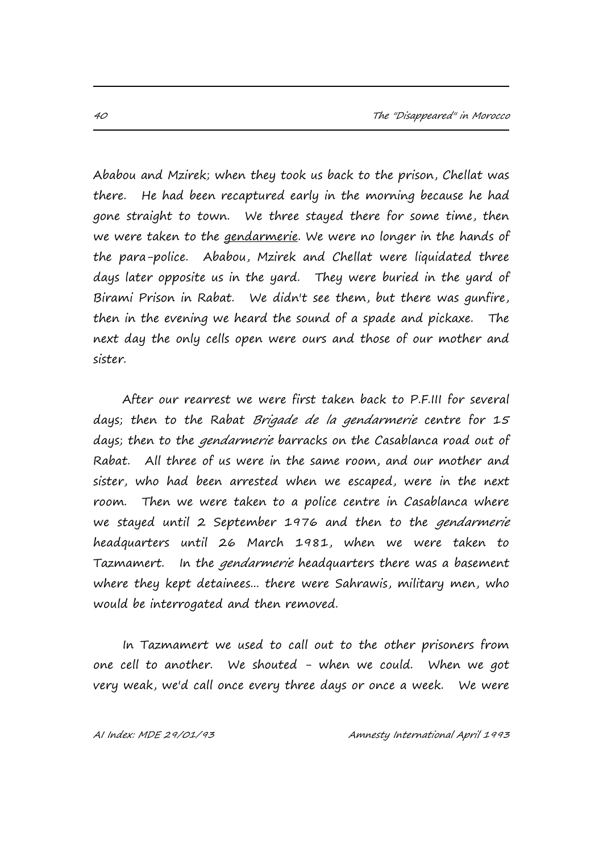Ababou and Mzirek; when they took us back to the prison, Chellat was there. He had been recaptured early in the morning because he had gone straight to town. We three stayed there for some time, then we were taken to the *gendarmerie*. We were no longer in the hands of the para-police. Ababou, Mzirek and Chellat were liquidated three days later opposite us in the yard. They were buried in the yard of Birami Prison in Rabat. We didn't see them, but there was gunfire, then in the evening we heard the sound of a spade and pickaxe. The next day the only cells open were ours and those of our mother and sister.

After our rearrest we were first taken back to P.F.III for several days; then to the Rabat Brigade de la gendarmerie centre for 15 days; then to the *gendarmerie* barracks on the Casablanca road out of Rabat. All three of us were in the same room, and our mother and sister, who had been arrested when we escaped, were in the next room. Then we were taken to a police centre in Casablanca where we stayed until 2 September 1976 and then to the *gendarmerie* headquarters until 26 March 1981, when we were taken to Tazmamert. In the gendarmerie headquarters there was a basement where they kept detainees... there were Sahrawis, military men, who would be interrogated and then removed.

 In Tazmamert we used to call out to the other prisoners from one cell to another. We shouted - when we could. When we got very weak, we'd call once every three days or once a week. We were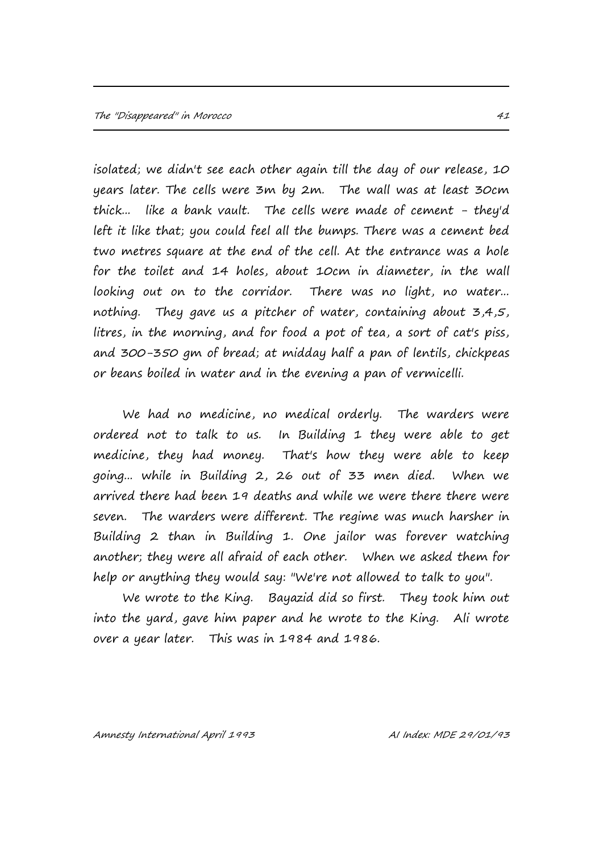isolated; we didn't see each other again till the day of our release, 10 years later. The cells were 3m by 2m. The wall was at least 30cm thick... like a bank vault. The cells were made of cement - they'd left it like that; you could feel all the bumps. There was a cement bed two metres square at the end of the cell. At the entrance was a hole for the toilet and 14 holes, about 10cm in diameter, in the wall looking out on to the corridor. There was no light, no water... nothing. They gave us a pitcher of water, containing about 3,4,5, litres, in the morning, and for food a pot of tea, a sort of cat's piss, and 300-350 gm of bread; at midday half a pan of lentils, chickpeas or beans boiled in water and in the evening a pan of vermicelli.

We had no medicine, no medical orderly. The warders were ordered not to talk to us. In Building 1 they were able to get medicine, they had money. That's how they were able to keep going... while in Building 2, 26 out of 33 men died. When we arrived there had been 19 deaths and while we were there there were seven. The warders were different. The regime was much harsher in Building 2 than in Building 1. One jailor was forever watching another; they were all afraid of each other. When we asked them for help or anything they would say: "We're not allowed to talk to you".

We wrote to the King. Bayazid did so first. They took him out into the yard, gave him paper and he wrote to the King. Ali wrote over a year later. This was in 1984 and 1986.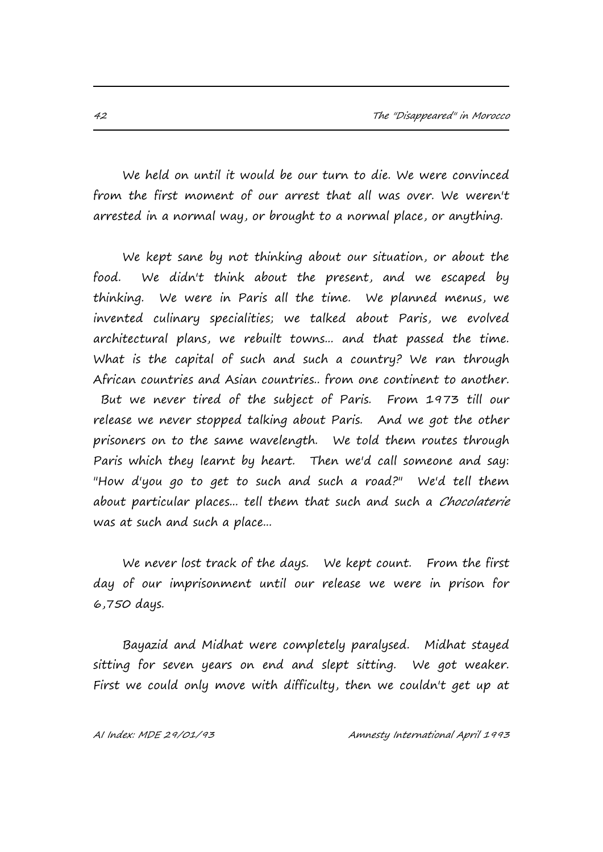We held on until it would be our turn to die. We were convinced from the first moment of our arrest that all was over. We weren't arrested in a normal way, or brought to a normal place, or anything.

We kept sane by not thinking about our situation, or about the food. We didn't think about the present, and we escaped by thinking. We were in Paris all the time. We planned menus, we invented culinary specialities; we talked about Paris, we evolved architectural plans, we rebuilt towns... and that passed the time. What is the capital of such and such a country? We ran through African countries and Asian countries.. from one continent to another. But we never tired of the subject of Paris. From 1973 till our release we never stopped talking about Paris. And we got the other prisoners on to the same wavelength. We told them routes through Paris which they learnt by heart. Then we'd call someone and say: "How d'you go to get to such and such a road?" We'd tell them about particular places... tell them that such and such a *Chocolaterie* was at such and such a place...

We never lost track of the days. We kept count. From the first day of our imprisonment until our release we were in prison for 6,750 days.

Bayazid and Midhat were completely paralysed. Midhat stayed sitting for seven years on end and slept sitting. We got weaker. First we could only move with difficulty, then we couldn't get up at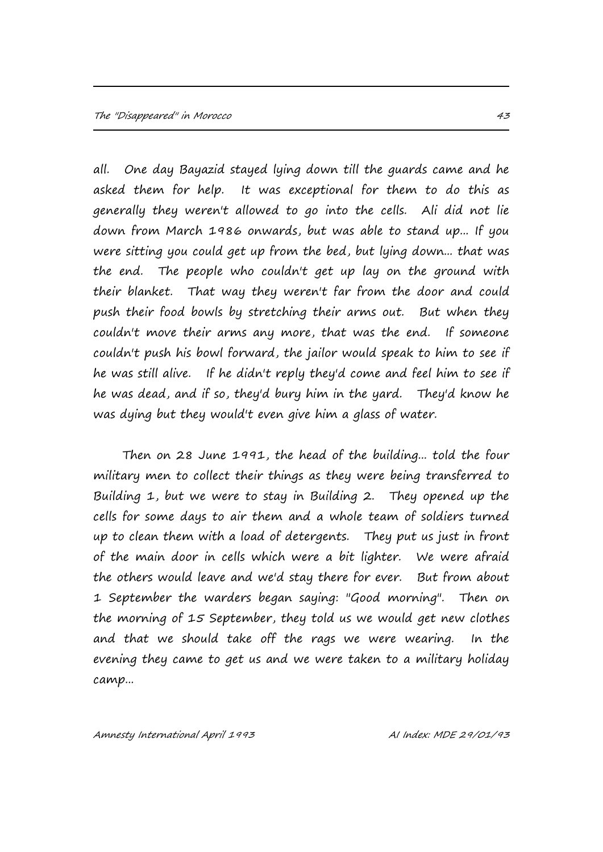all. One day Bayazid stayed lying down till the guards came and he asked them for help. It was exceptional for them to do this as generally they weren't allowed to go into the cells. Ali did not lie down from March 1986 onwards, but was able to stand up... If you were sitting you could get up from the bed, but lying down... that was the end. The people who couldn't get up lay on the ground with their blanket. That way they weren't far from the door and could push their food bowls by stretching their arms out. But when they couldn't move their arms any more, that was the end. If someone couldn't push his bowl forward, the jailor would speak to him to see if he was still alive. If he didn't reply they'd come and feel him to see if he was dead, and if so, they'd bury him in the yard. They'd know he was dying but they would't even give him a glass of water.

Then on 28 June 1991, the head of the building... told the four military men to collect their things as they were being transferred to Building 1, but we were to stay in Building 2. They opened up the cells for some days to air them and a whole team of soldiers turned up to clean them with a load of detergents. They put us just in front of the main door in cells which were a bit lighter. We were afraid the others would leave and we'd stay there for ever. But from about 1 September the warders began saying: "Good morning". Then on the morning of 15 September, they told us we would get new clothes and that we should take off the rags we were wearing. In the evening they came to get us and we were taken to a military holiday camp...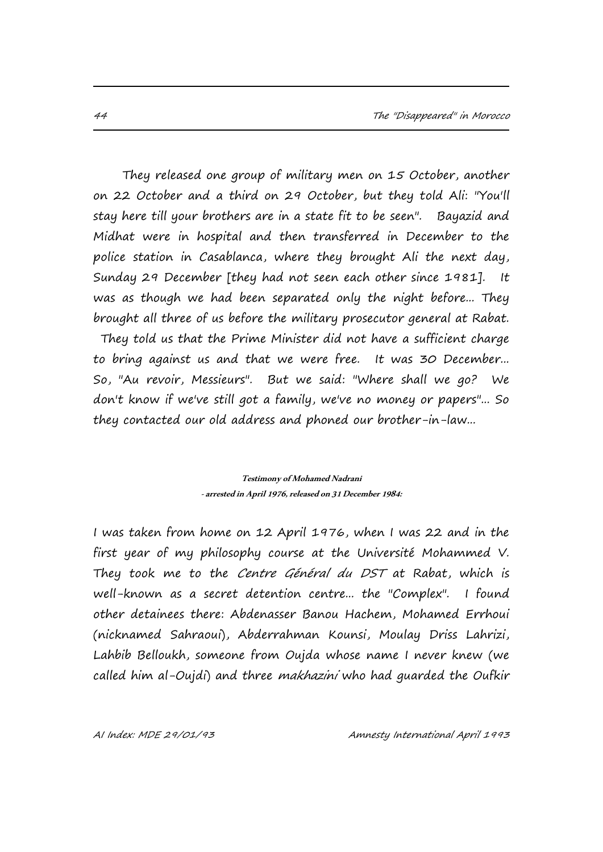They released one group of military men on 15 October, another on 22 October and a third on 29 October, but they told Ali: "You'll stay here till your brothers are in a state fit to be seen". Bayazid and Midhat were in hospital and then transferred in December to the police station in Casablanca, where they brought Ali the next day, Sunday 29 December [they had not seen each other since 1981]. It was as though we had been separated only the night before... They brought all three of us before the military prosecutor general at Rabat. They told us that the Prime Minister did not have a sufficient charge to bring against us and that we were free. It was 30 December... So, "Au revoir, Messieurs". But we said: "Where shall we go? We don't know if we've still got a family, we've no money or papers"... So they contacted our old address and phoned our brother-in-law...

> **Testimony of Mohamed Nadrani -arrested in April 1976, released on 31 December 1984:**

I was taken from home on 12 April 1976, when I was 22 and in the first year of my philosophy course at the Université Mohammed V. They took me to the Centre Général du DST at Rabat, which is well-known as a secret detention centre... the "Complex". I found other detainees there: Abdenasser Banou Hachem, Mohamed Errhoui (nicknamed Sahraoui), Abderrahman Kounsi, Moulay Driss Lahrizi, Lahbib Belloukh, someone from Oujda whose name I never knew (we called him al-Oujdi) and three *makhazini* who had quarded the Oufkir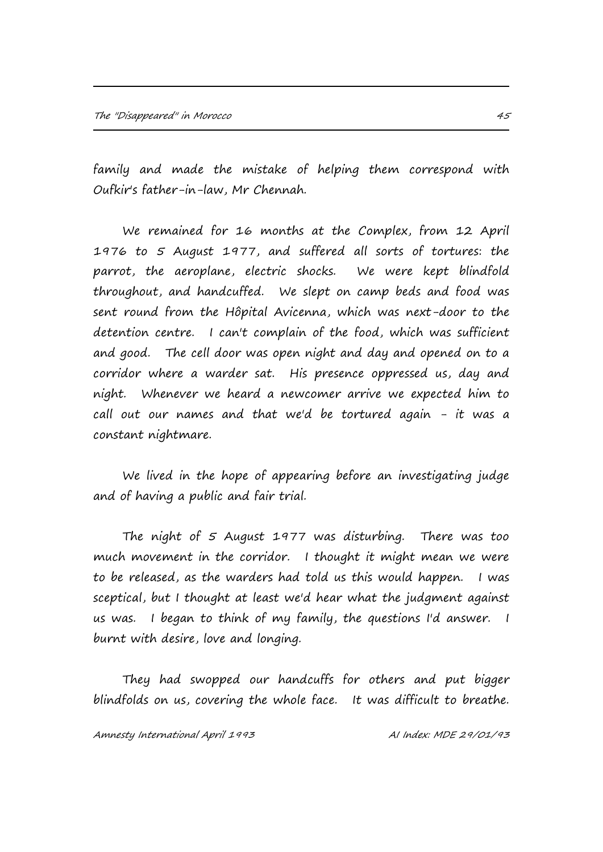family and made the mistake of helping them correspond with Oufkir's father-in-law, Mr Chennah.

We remained for 16 months at the Complex, from 12 April 1976 to 5 August 1977, and suffered all sorts of tortures: the parrot, the aeroplane, electric shocks. We were kept blindfold throughout, and handcuffed. We slept on camp beds and food was sent round from the Hôpital Avicenna, which was next-door to the detention centre. I can't complain of the food, which was sufficient and good. The cell door was open night and day and opened on to a corridor where a warder sat. His presence oppressed us, day and night. Whenever we heard a newcomer arrive we expected him to call out our names and that we'd be tortured again - it was a constant nightmare.

We lived in the hope of appearing before an investigating judge and of having a public and fair trial.

The night of 5 August 1977 was disturbing. There was too much movement in the corridor. I thought it might mean we were to be released, as the warders had told us this would happen. I was sceptical, but I thought at least we'd hear what the judgment against us was. I began to think of my family, the questions I'd answer. I burnt with desire, love and longing.

They had swopped our handcuffs for others and put bigger blindfolds on us, covering the whole face. It was difficult to breathe.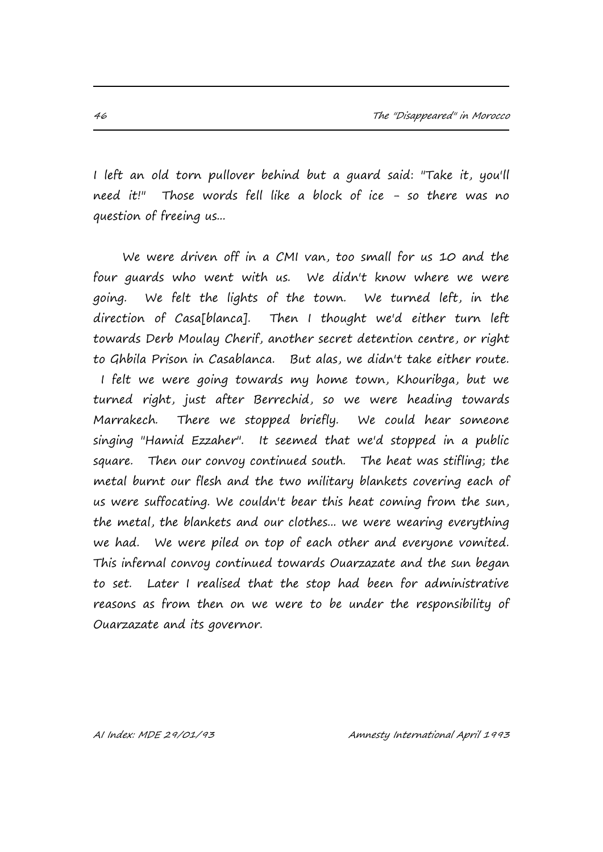I left an old torn pullover behind but a guard said: "Take it, you'll need it!" Those words fell like a block of ice - so there was no question of freeing us...

We were driven off in a CMI van, too small for us 10 and the four guards who went with us. We didn't know where we were going. We felt the lights of the town. We turned left, in the direction of Casa[blanca]. Then I thought we'd either turn left towards Derb Moulay Cherif, another secret detention centre, or right to Ghbila Prison in Casablanca. But alas, we didn't take either route. I felt we were going towards my home town, Khouribga, but we turned right, just after Berrechid, so we were heading towards Marrakech. There we stopped briefly. We could hear someone singing "Hamid Ezzaher". It seemed that we'd stopped in a public square. Then our convoy continued south. The heat was stifling; the metal burnt our flesh and the two military blankets covering each of us were suffocating. We couldn't bear this heat coming from the sun, the metal, the blankets and our clothes... we were wearing everything we had. We were piled on top of each other and everyone vomited. This infernal convoy continued towards Ouarzazate and the sun began to set. Later I realised that the stop had been for administrative reasons as from then on we were to be under the responsibility of Ouarzazate and its governor.

AI Index: MDE 29/01/93 Amnesty International April 1993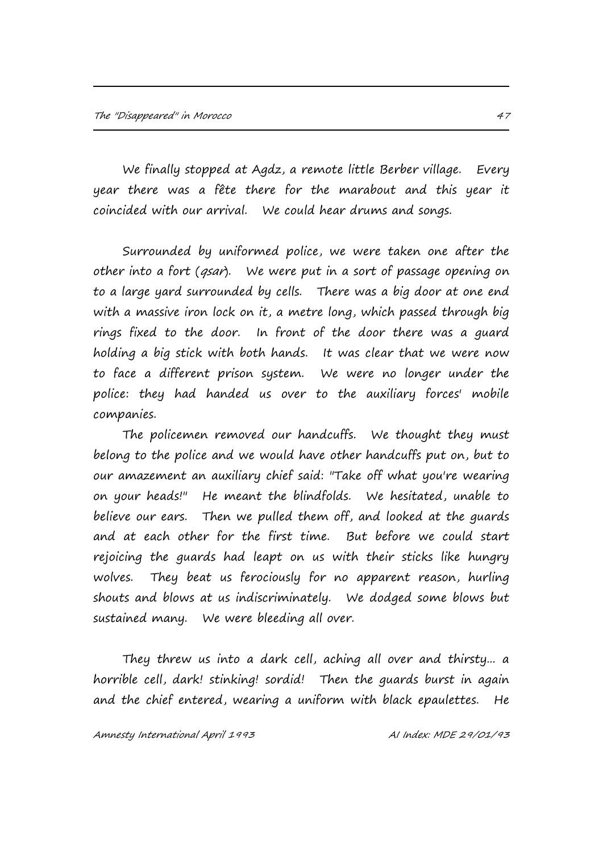We finally stopped at Agdz, a remote little Berber village. Every year there was a fête there for the marabout and this year it coincided with our arrival. We could hear drums and songs.

Surrounded by uniformed police, we were taken one after the other into a fort (*qsar*). We were put in a sort of passage opening on to a large yard surrounded by cells. There was a big door at one end with a massive iron lock on it, a metre long, which passed through big rings fixed to the door. In front of the door there was a guard holding a big stick with both hands. It was clear that we were now to face a different prison system. We were no longer under the police: they had handed us over to the auxiliary forces' mobile companies.

The policemen removed our handcuffs. We thought they must belong to the police and we would have other handcuffs put on, but to our amazement an auxiliary chief said: "Take off what you're wearing on your heads!" He meant the blindfolds. We hesitated, unable to believe our ears. Then we pulled them off, and looked at the guards and at each other for the first time. But before we could start rejoicing the guards had leapt on us with their sticks like hungry wolves. They beat us ferociously for no apparent reason, hurling shouts and blows at us indiscriminately. We dodged some blows but sustained many. We were bleeding all over.

They threw us into a dark cell, aching all over and thirsty... a horrible cell, dark! stinking! sordid! Then the guards burst in again and the chief entered, wearing a uniform with black epaulettes. He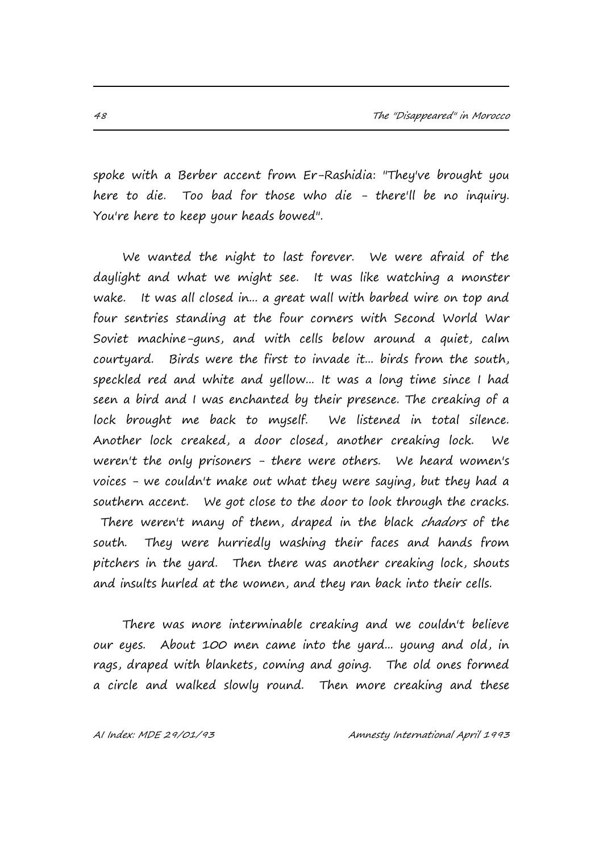spoke with a Berber accent from Er-Rashidia: "They've brought you here to die. Too bad for those who die - there'll be no inquiry. You're here to keep your heads bowed".

We wanted the night to last forever. We were afraid of the daylight and what we might see. It was like watching a monster wake. It was all closed in... a great wall with barbed wire on top and four sentries standing at the four corners with Second World War Soviet machine-guns, and with cells below around a quiet, calm courtyard. Birds were the first to invade it... birds from the south, speckled red and white and yellow... It was a long time since I had seen a bird and I was enchanted by their presence. The creaking of a lock brought me back to myself. We listened in total silence. Another lock creaked, a door closed, another creaking lock. We weren't the only prisoners - there were others. We heard women's voices - we couldn't make out what they were saying, but they had a southern accent. We got close to the door to look through the cracks. There weren't many of them, draped in the black *chadors* of the south. They were hurriedly washing their faces and hands from pitchers in the yard. Then there was another creaking lock, shouts and insults hurled at the women, and they ran back into their cells.

There was more interminable creaking and we couldn't believe our eyes. About 100 men came into the yard... young and old, in rags, draped with blankets, coming and going. The old ones formed a circle and walked slowly round. Then more creaking and these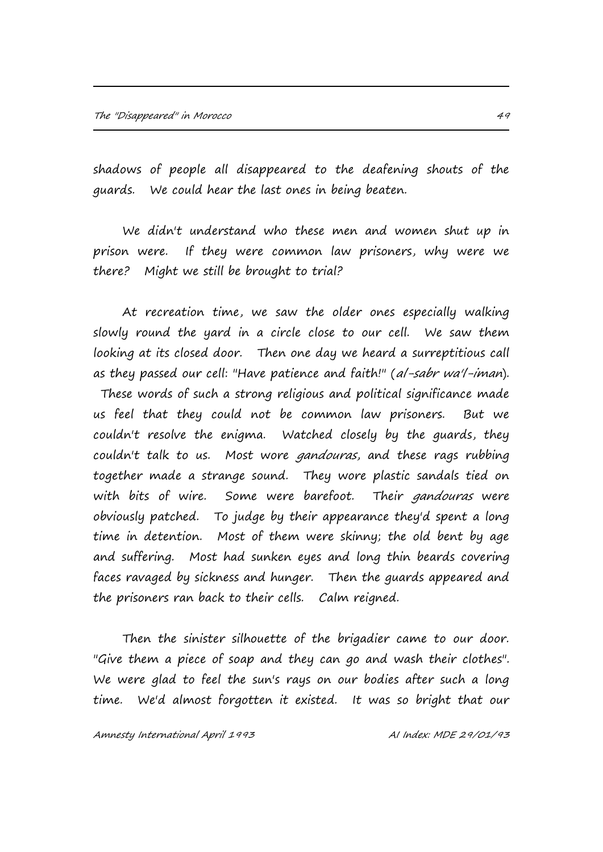shadows of people all disappeared to the deafening shouts of the guards. We could hear the last ones in being beaten.

We didn't understand who these men and women shut up in prison were. If they were common law prisoners, why were we there? Might we still be brought to trial?

At recreation time, we saw the older ones especially walking slowly round the yard in a circle close to our cell. We saw them looking at its closed door. Then one day we heard a surreptitious call as they passed our cell: "Have patience and faith!" (al-sabr wa'l-iman). These words of such a strong religious and political significance made us feel that they could not be common law prisoners. But we couldn't resolve the enigma. Watched closely by the guards, they couldn't talk to us. Most wore *gandouras*, and these rags rubbing together made a strange sound. They wore plastic sandals tied on with bits of wire. Some were barefoot. Their *gandouras* were obviously patched. To judge by their appearance they'd spent a long time in detention. Most of them were skinny; the old bent by age and suffering. Most had sunken eyes and long thin beards covering faces ravaged by sickness and hunger. Then the guards appeared and the prisoners ran back to their cells. Calm reigned.

Then the sinister silhouette of the brigadier came to our door. "Give them a piece of soap and they can go and wash their clothes". We were glad to feel the sun's rays on our bodies after such a long time. We'd almost forgotten it existed. It was so bright that our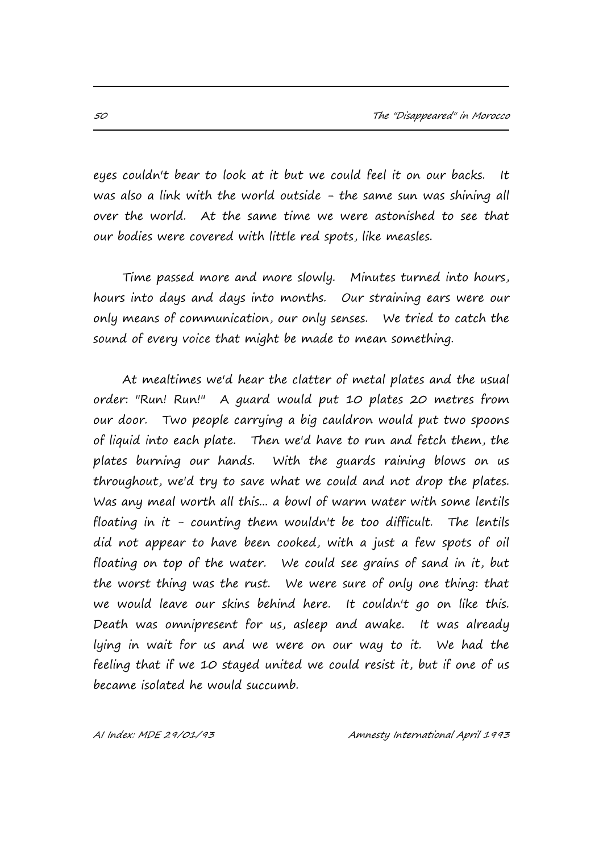eyes couldn't bear to look at it but we could feel it on our backs. It was also a link with the world outside - the same sun was shining all over the world. At the same time we were astonished to see that our bodies were covered with little red spots, like measles.

Time passed more and more slowly. Minutes turned into hours, hours into days and days into months. Our straining ears were our only means of communication, our only senses. We tried to catch the sound of every voice that might be made to mean something.

At mealtimes we'd hear the clatter of metal plates and the usual order: "Run! Run!" A guard would put 10 plates 20 metres from our door. Two people carrying a big cauldron would put two spoons of liquid into each plate. Then we'd have to run and fetch them, the plates burning our hands. With the guards raining blows on us throughout, we'd try to save what we could and not drop the plates. Was any meal worth all this... a bowl of warm water with some lentils floating in it - counting them wouldn't be too difficult. The lentils did not appear to have been cooked, with a just a few spots of oil floating on top of the water. We could see grains of sand in it, but the worst thing was the rust. We were sure of only one thing: that we would leave our skins behind here. It couldn't go on like this. Death was omnipresent for us, asleep and awake. It was already lying in wait for us and we were on our way to it. We had the feeling that if we 10 stayed united we could resist it, but if one of us became isolated he would succumb.

AI Index: MDE 29/01/93 Amnesty International April 1993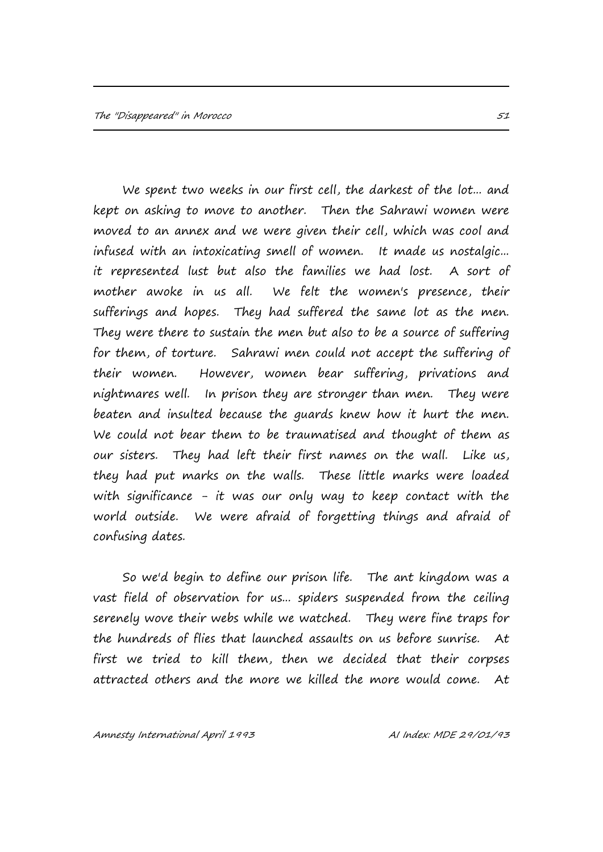We spent two weeks in our first cell, the darkest of the lot... and kept on asking to move to another. Then the Sahrawi women were moved to an annex and we were given their cell, which was cool and infused with an intoxicating smell of women. It made us nostalgic... it represented lust but also the families we had lost. A sort of mother awoke in us all. We felt the women's presence, their sufferings and hopes. They had suffered the same lot as the men. They were there to sustain the men but also to be a source of suffering for them, of torture. Sahrawi men could not accept the suffering of their women. However, women bear suffering, privations and nightmares well. In prison they are stronger than men. They were beaten and insulted because the guards knew how it hurt the men. We could not bear them to be traumatised and thought of them as our sisters. They had left their first names on the wall. Like us, they had put marks on the walls. These little marks were loaded with significance - it was our only way to keep contact with the world outside. We were afraid of forgetting things and afraid of confusing dates.

So we'd begin to define our prison life. The ant kingdom was a vast field of observation for us... spiders suspended from the ceiling serenely wove their webs while we watched. They were fine traps for the hundreds of flies that launched assaults on us before sunrise. At first we tried to kill them, then we decided that their corpses attracted others and the more we killed the more would come. At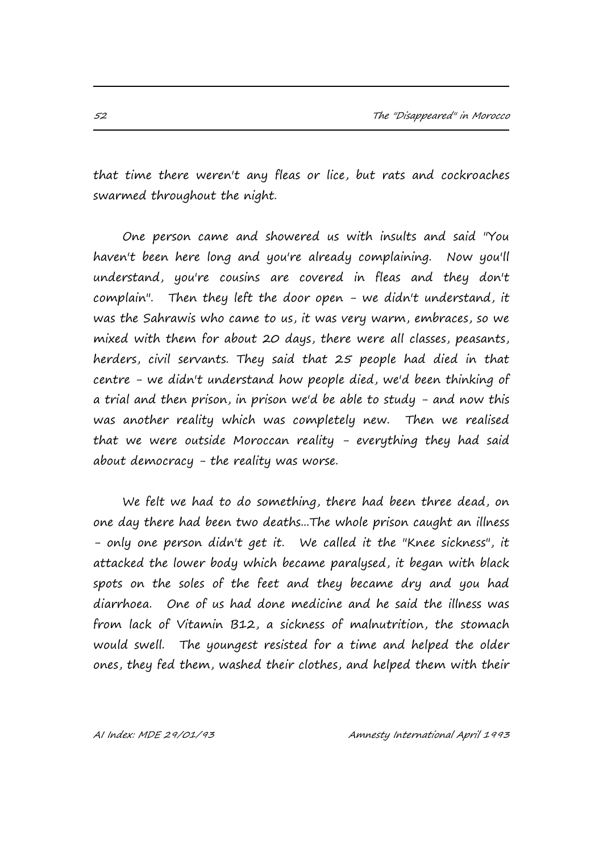that time there weren't any fleas or lice, but rats and cockroaches swarmed throughout the night.

One person came and showered us with insults and said "You haven't been here long and you're already complaining. Now you'll understand, you're cousins are covered in fleas and they don't complain". Then they left the door open - we didn't understand, it was the Sahrawis who came to us, it was very warm, embraces, so we mixed with them for about 20 days, there were all classes, peasants, herders, civil servants. They said that 25 people had died in that centre - we didn't understand how people died, we'd been thinking of a trial and then prison, in prison we'd be able to study - and now this was another reality which was completely new. Then we realised that we were outside Moroccan reality - everything they had said about democracy - the reality was worse.

We felt we had to do something, there had been three dead, on one day there had been two deaths...The whole prison caught an illness - only one person didn't get it. We called it the "Knee sickness", it attacked the lower body which became paralysed, it began with black spots on the soles of the feet and they became dry and you had diarrhoea. One of us had done medicine and he said the illness was from lack of Vitamin B12, a sickness of malnutrition, the stomach would swell. The youngest resisted for a time and helped the older ones, they fed them, washed their clothes, and helped them with their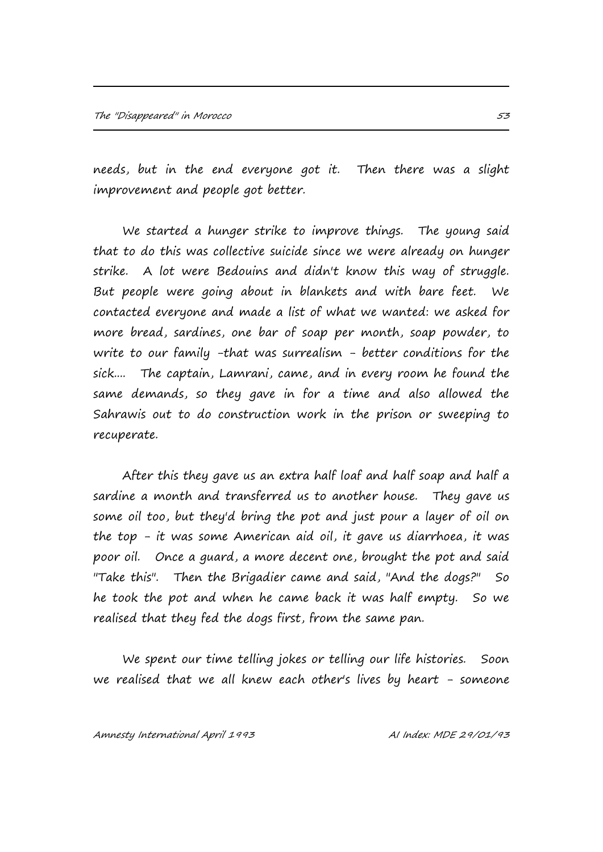needs, but in the end everyone got it. Then there was a slight improvement and people got better.

We started a hunger strike to improve things. The young said that to do this was collective suicide since we were already on hunger strike. A lot were Bedouins and didn't know this way of struggle. But people were going about in blankets and with bare feet. We contacted everyone and made a list of what we wanted: we asked for more bread, sardines, one bar of soap per month, soap powder, to write to our family -that was surrealism - better conditions for the sick.... The captain, Lamrani, came, and in every room he found the same demands, so they gave in for a time and also allowed the Sahrawis out to do construction work in the prison or sweeping to recuperate.

After this they gave us an extra half loaf and half soap and half a sardine a month and transferred us to another house. They gave us some oil too, but they'd bring the pot and just pour a layer of oil on the top - it was some American aid oil, it gave us diarrhoea, it was poor oil. Once a guard, a more decent one, brought the pot and said "Take this". Then the Brigadier came and said, "And the dogs?" So he took the pot and when he came back it was half empty. So we realised that they fed the dogs first, from the same pan.

We spent our time telling jokes or telling our life histories. Soon we realised that we all knew each other's lives by heart - someone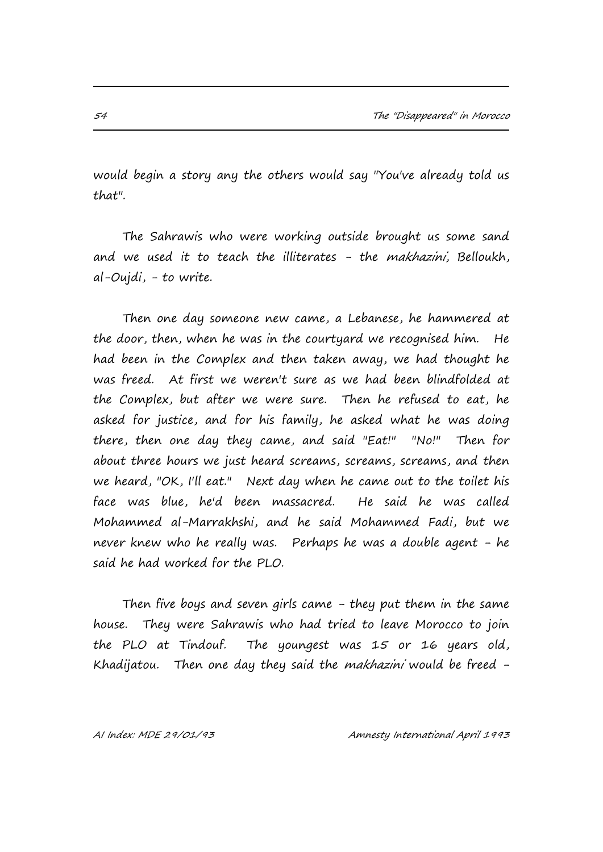would begin a story any the others would say "You've already told us that".

The Sahrawis who were working outside brought us some sand and we used it to teach the illiterates - the makhazini, Belloukh, al-Oujdi, - to write.

Then one day someone new came, a Lebanese, he hammered at the door, then, when he was in the courtyard we recognised him. He had been in the Complex and then taken away, we had thought he was freed. At first we weren't sure as we had been blindfolded at the Complex, but after we were sure. Then he refused to eat, he asked for justice, and for his family, he asked what he was doing there, then one day they came, and said "Eat!" "No!" Then for about three hours we just heard screams, screams, screams, and then we heard, "OK, I'll eat." Next day when he came out to the toilet his face was blue, he'd been massacred. He said he was called Mohammed al-Marrakhshi, and he said Mohammed Fadi, but we never knew who he really was. Perhaps he was a double agent - he said he had worked for the PLO.

Then five boys and seven girls came - they put them in the same house. They were Sahrawis who had tried to leave Morocco to join the PLO at Tindouf. The youngest was 15 or 16 years old, Khadijatou. Then one day they said the *makhazini* would be freed -

AI Index: MDE 29/01/93 Amnesty International April 1993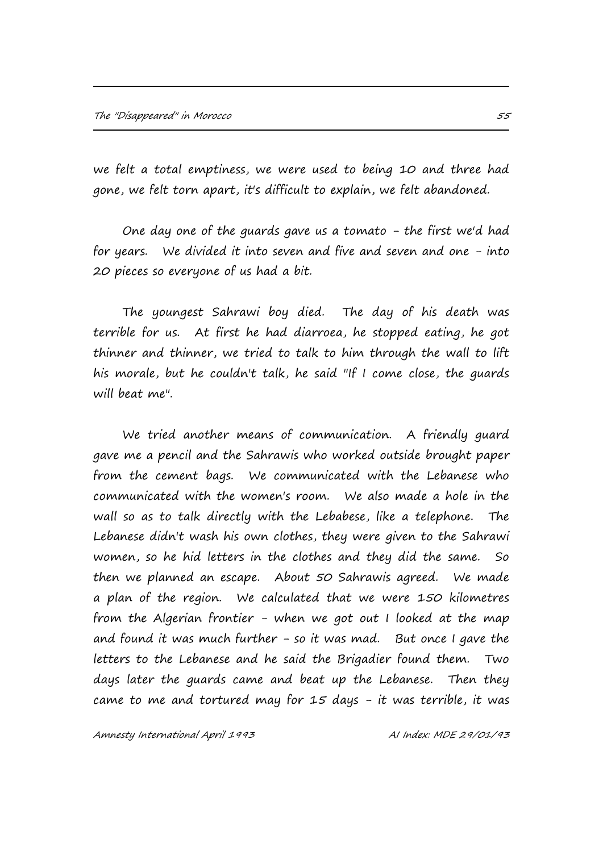we felt a total emptiness, we were used to being 10 and three had gone, we felt torn apart, it's difficult to explain, we felt abandoned.

One day one of the guards gave us a tomato - the first we'd had for years. We divided it into seven and five and seven and one - into 20 pieces so everyone of us had a bit.

The youngest Sahrawi boy died. The day of his death was terrible for us. At first he had diarroea, he stopped eating, he got thinner and thinner, we tried to talk to him through the wall to lift his morale, but he couldn't talk, he said "If I come close, the guards will beat me".

We tried another means of communication. A friendly guard gave me a pencil and the Sahrawis who worked outside brought paper from the cement bags. We communicated with the Lebanese who communicated with the women's room. We also made a hole in the wall so as to talk directly with the Lebabese, like a telephone. The Lebanese didn't wash his own clothes, they were given to the Sahrawi women, so he hid letters in the clothes and they did the same. So then we planned an escape. About 50 Sahrawis agreed. We made a plan of the region. We calculated that we were 150 kilometres from the Algerian frontier - when we got out I looked at the map and found it was much further  $-$  so it was mad. But once I gave the letters to the Lebanese and he said the Brigadier found them. Two days later the guards came and beat up the Lebanese. Then they came to me and tortured may for 15 days - it was terrible, it was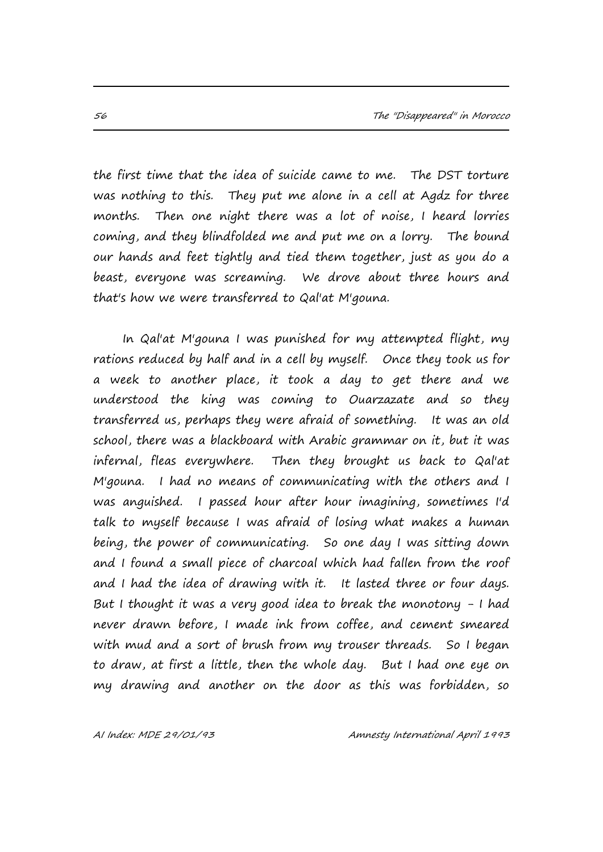the first time that the idea of suicide came to me. The DST torture was nothing to this. They put me alone in a cell at Agdz for three months. Then one night there was a lot of noise, I heard lorries coming, and they blindfolded me and put me on a lorry. The bound our hands and feet tightly and tied them together, just as you do a beast, everyone was screaming. We drove about three hours and that's how we were transferred to Qal'at M'gouna.

In Qal'at M'gouna I was punished for my attempted flight, my rations reduced by half and in a cell by myself. Once they took us for a week to another place, it took a day to get there and we understood the king was coming to Ouarzazate and so they transferred us, perhaps they were afraid of something. It was an old school, there was a blackboard with Arabic grammar on it, but it was infernal, fleas everywhere. Then they brought us back to Qal'at M'gouna. I had no means of communicating with the others and I was anguished. I passed hour after hour imagining, sometimes I'd talk to myself because I was afraid of losing what makes a human being, the power of communicating. So one day I was sitting down and I found a small piece of charcoal which had fallen from the roof and I had the idea of drawing with it. It lasted three or four days. But I thought it was a very good idea to break the monotony - I had never drawn before, I made ink from coffee, and cement smeared with mud and a sort of brush from my trouser threads. So I began to draw, at first a little, then the whole day. But I had one eye on my drawing and another on the door as this was forbidden, so

AI Index: MDE 29/01/93 Amnesty International April 1993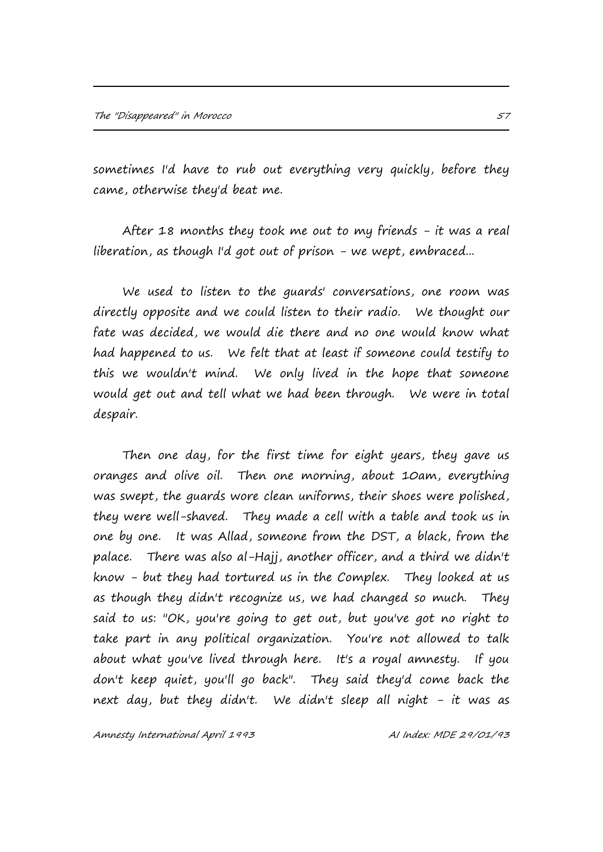sometimes I'd have to rub out everything very quickly, before they came, otherwise they'd beat me.

After 18 months they took me out to my friends - it was a real liberation, as though I'd got out of prison - we wept, embraced...

We used to listen to the guards' conversations, one room was directly opposite and we could listen to their radio. We thought our fate was decided, we would die there and no one would know what had happened to us. We felt that at least if someone could testify to this we wouldn't mind. We only lived in the hope that someone would get out and tell what we had been through. We were in total despair.

Then one day, for the first time for eight years, they gave us oranges and olive oil. Then one morning, about 10am, everything was swept, the guards wore clean uniforms, their shoes were polished, they were well-shaved. They made a cell with a table and took us in one by one. It was Allad, someone from the DST, a black, from the palace. There was also al-Hajj, another officer, and a third we didn't know - but they had tortured us in the Complex. They looked at us as though they didn't recognize us, we had changed so much. They said to us: "OK, you're going to get out, but you've got no right to take part in any political organization. You're not allowed to talk about what you've lived through here. It's a royal amnesty. If you don't keep quiet, you'll go back". They said they'd come back the next day, but they didn't. We didn't sleep all night - it was as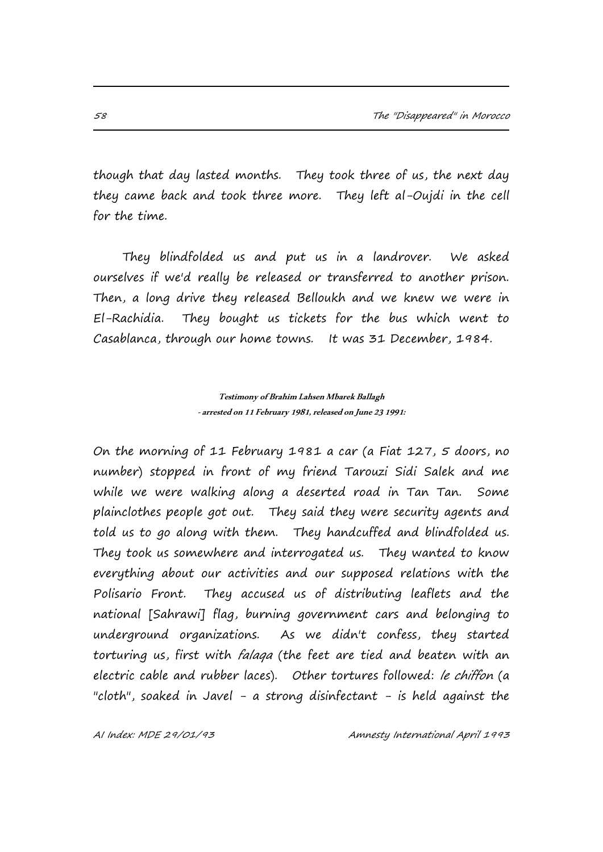though that day lasted months. They took three of us, the next day they came back and took three more. They left al-Oujdi in the cell for the time.

They blindfolded us and put us in a landrover. We asked ourselves if we'd really be released or transferred to another prison. Then, a long drive they released Belloukh and we knew we were in El-Rachidia. They bought us tickets for the bus which went to Casablanca, through our home towns. It was 31 December, 1984.

> **Testimony of Brahim Lahsen Mbarek Ballagh -arrested on 11 February 1981, released on June 23 1991:**

On the morning of 11 February 1981 a car (a Fiat 127, 5 doors, no number) stopped in front of my friend Tarouzi Sidi Salek and me while we were walking along a deserted road in Tan Tan. Some plainclothes people got out. They said they were security agents and told us to go along with them. They handcuffed and blindfolded us. They took us somewhere and interrogated us. They wanted to know everything about our activities and our supposed relations with the Polisario Front. They accused us of distributing leaflets and the national [Sahrawi] flag, burning government cars and belonging to underground organizations. As we didn't confess, they started torturing us, first with *falaga* (the feet are tied and beaten with an electric cable and rubber laces). Other tortures followed: le chiffon (a "cloth", soaked in Javel - a strong disinfectant - is held against the

AI Index: MDE 29/01/93 Amnesty International April 1993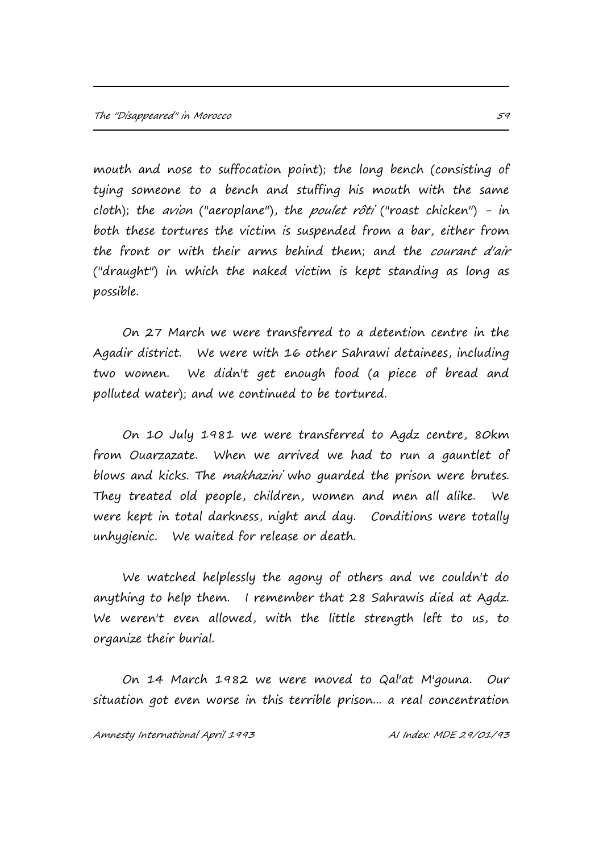mouth and nose to suffocation point); the long bench (consisting of tying someone to a bench and stuffing his mouth with the same cloth); the avion ("aeroplane"), the poulet rôti ("roast chicken") - in both these tortures the victim is suspended from a bar, either from the front or with their arms behind them; and the courant d'air ("draught") in which the naked victim is kept standing as long as possible.

On 27 March we were transferred to a detention centre in the Agadir district. We were with 16 other Sahrawi detainees, including two women. We didn't get enough food (a piece of bread and polluted water); and we continued to be tortured.

On 10 July 1981 we were transferred to Agdz centre, 80km from Ouarzazate. When we arrived we had to run a gauntlet of blows and kicks. The *makhazini* who guarded the prison were brutes. They treated old people, children, women and men all alike. We were kept in total darkness, night and day. Conditions were totally unhygienic. We waited for release or death.

We watched helplessly the agony of others and we couldn't do anything to help them. I remember that 28 Sahrawis died at Agdz. We weren't even allowed, with the little strength left to us, to organize their burial.

On 14 March 1982 we were moved to Qal'at M'gouna. Our situation got even worse in this terrible prison... a real concentration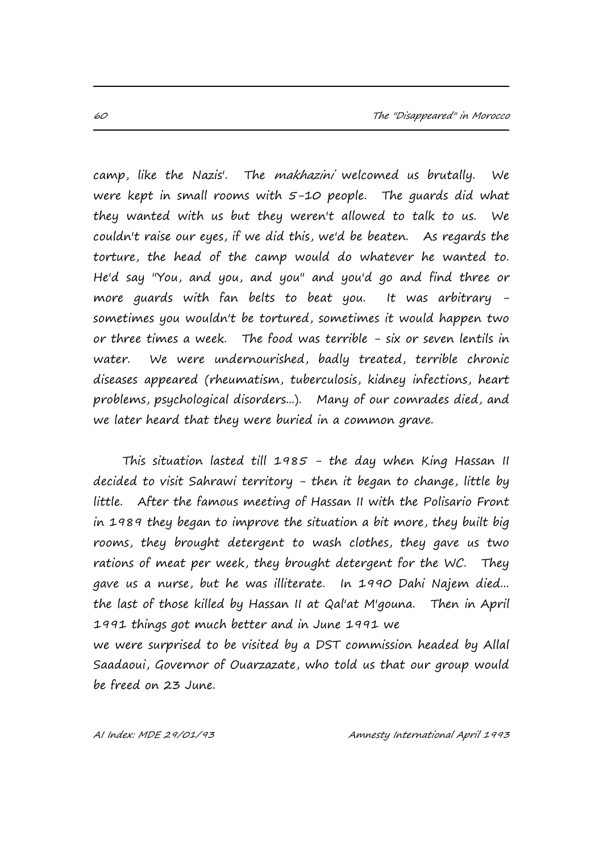camp, like the Nazis'. The makhazini welcomed us brutally. We were kept in small rooms with 5-10 people. The guards did what they wanted with us but they weren't allowed to talk to us. We couldn't raise our eyes, if we did this, we'd be beaten. As regards the torture, the head of the camp would do whatever he wanted to. He'd say "You, and you, and you" and you'd go and find three or more guards with fan belts to beat you. It was arbitrary sometimes you wouldn't be tortured, sometimes it would happen two or three times a week. The food was terrible - six or seven lentils in water. We were undernourished, badly treated, terrible chronic diseases appeared (rheumatism, tuberculosis, kidney infections, heart problems, psychological disorders...). Many of our comrades died, and we later heard that they were buried in a common grave.

This situation lasted till 1985 - the day when King Hassan II decided to visit Sahrawi territory - then it began to change, little by little. After the famous meeting of Hassan II with the Polisario Front in 1989 they began to improve the situation a bit more, they built big rooms, they brought detergent to wash clothes, they gave us two rations of meat per week, they brought detergent for the WC. They gave us a nurse, but he was illiterate. In 1990 Dahi Najem died... the last of those killed by Hassan II at Qal'at M'gouna. Then in April 1991 things got much better and in June 1991 we we were surprised to be visited by a DST commission headed by Allal Saadaoui, Governor of Ouarzazate, who told us that our group would

be freed on 23 June.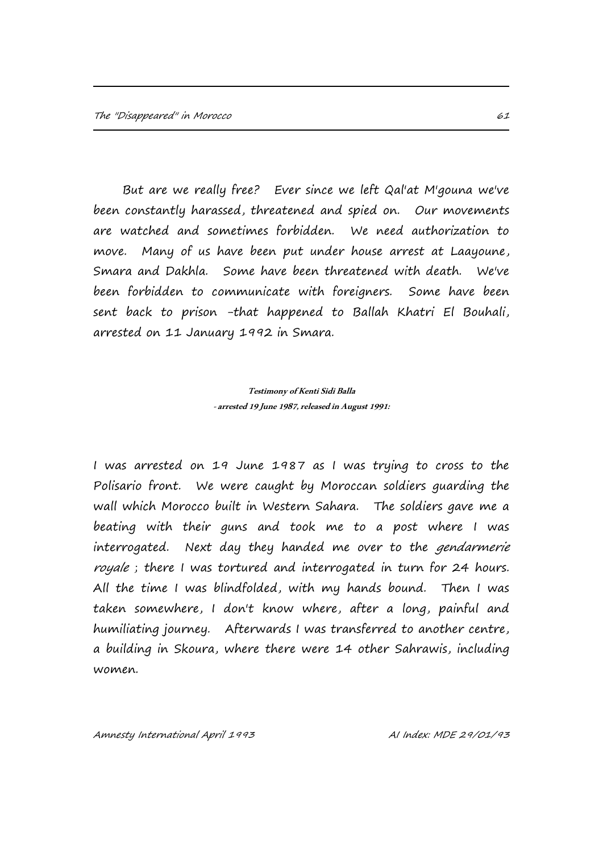But are we really free? Ever since we left Qal'at M'gouna we've been constantly harassed, threatened and spied on. Our movements are watched and sometimes forbidden. We need authorization to move. Many of us have been put under house arrest at Laayoune, Smara and Dakhla. Some have been threatened with death. We've been forbidden to communicate with foreigners. Some have been sent back to prison -that happened to Ballah Khatri El Bouhali, arrested on 11 January 1992 in Smara.

#### **Testimony of Kenti Sidi Balla -arrested 19 June 1987, released in August 1991:**

I was arrested on 19 June 1987 as I was trying to cross to the Polisario front. We were caught by Moroccan soldiers guarding the wall which Morocco built in Western Sahara. The soldiers gave me a beating with their guns and took me to a post where I was interrogated. Next day they handed me over to the *gendarmerie* royale; there I was tortured and interrogated in turn for 24 hours. All the time I was blindfolded, with my hands bound. Then I was taken somewhere, I don't know where, after a long, painful and humiliating journey. Afterwards I was transferred to another centre, a building in Skoura, where there were 14 other Sahrawis, including women.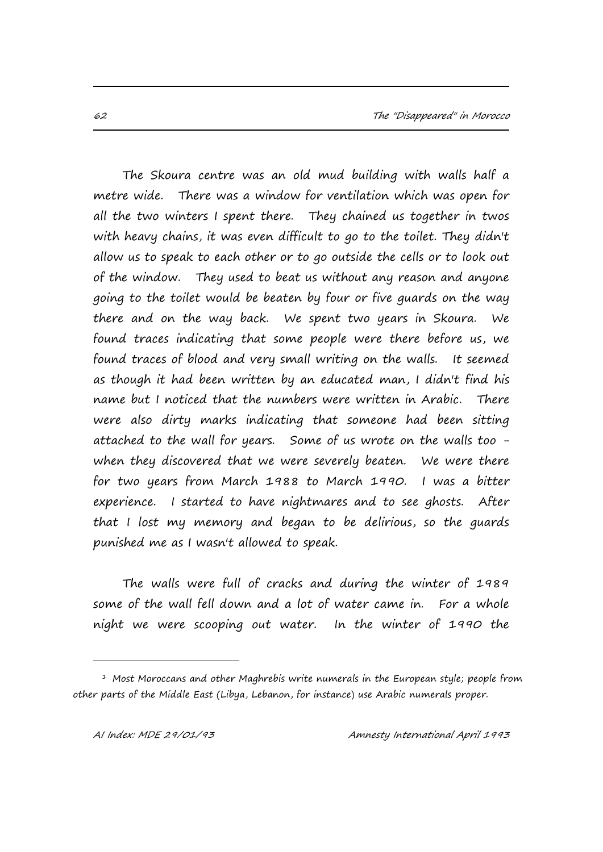The Skoura centre was an old mud building with walls half a metre wide. There was a window for ventilation which was open for all the two winters I spent there. They chained us together in twos with heavy chains, it was even difficult to go to the toilet. They didn't allow us to speak to each other or to go outside the cells or to look out of the window. They used to beat us without any reason and anyone going to the toilet would be beaten by four or five guards on the way there and on the way back. We spent two years in Skoura. We found traces indicating that some people were there before us, we found traces of blood and very small writing on the walls. It seemed as though it had been written by an educated man, I didn't find his name but I noticed that the numbers were written in Arabic. There were also dirty marks indicating that someone had been sitting attached to the wall for years. Some of us wrote on the walls too when they discovered that we were severely beaten. We were there for two years from March 1988 to March 1990. I was a bitter experience. I started to have nightmares and to see ghosts. After that I lost my memory and began to be delirious, so the guards punished me as I wasn't allowed to speak.

The walls were full of cracks and during the winter of 1989 some of the wall fell down and a lot of water came in. For a whole night we were scooping out water. In the winter of 1990 the

i<br>I

<sup>1</sup> Most Moroccans and other Maghrebis write numerals in the European style; people from other parts of the Middle East (Libya, Lebanon, for instance) use Arabic numerals proper.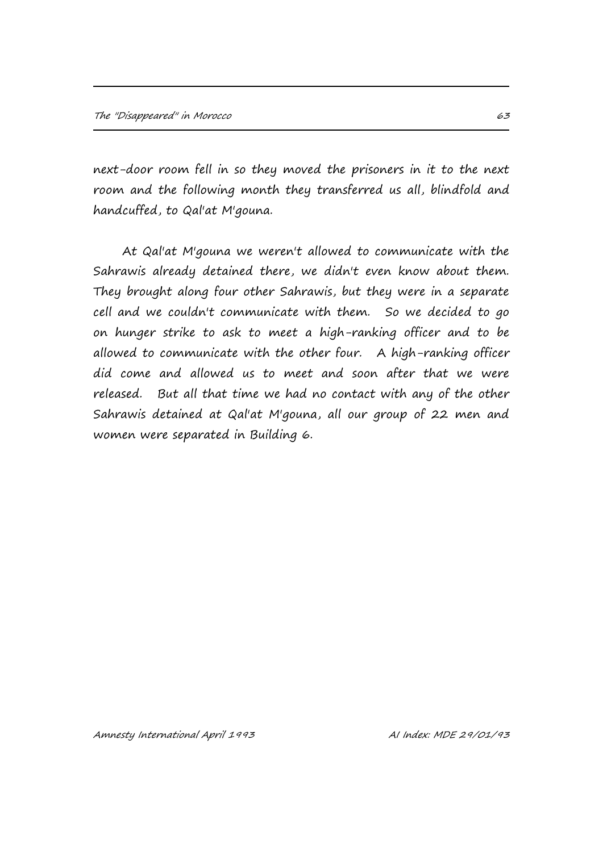next-door room fell in so they moved the prisoners in it to the next room and the following month they transferred us all, blindfold and handcuffed, to Qal'at M'gouna.

At Qal'at M'gouna we weren't allowed to communicate with the Sahrawis already detained there, we didn't even know about them. They brought along four other Sahrawis, but they were in a separate cell and we couldn't communicate with them. So we decided to go on hunger strike to ask to meet a high-ranking officer and to be allowed to communicate with the other four. A high-ranking officer did come and allowed us to meet and soon after that we were released. But all that time we had no contact with any of the other Sahrawis detained at Qal'at M'gouna, all our group of 22 men and women were separated in Building 6.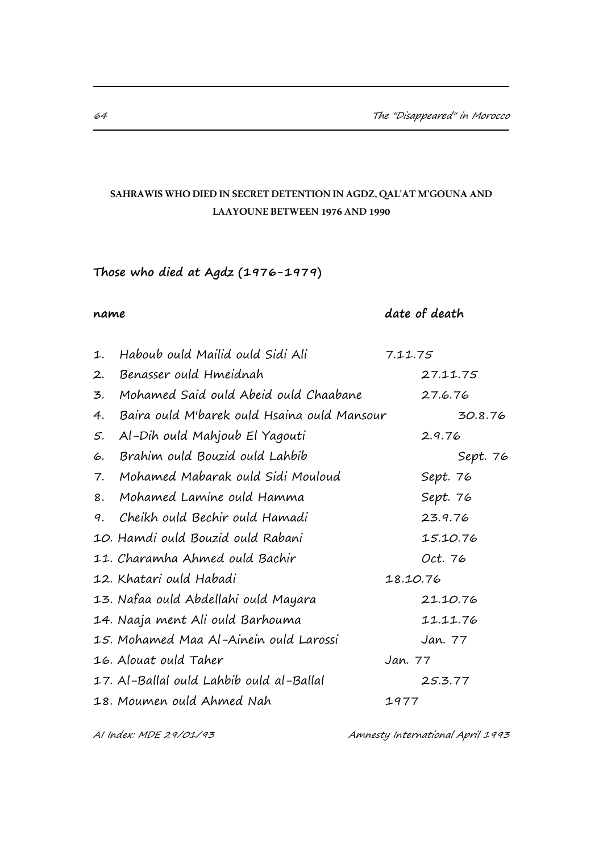# **SAHRAWIS WHO DIED IN SECRET DETENTION IN AGDZ, QAL'AT M'GOUNA AND LAAYOUNE BETWEEN 1976 AND 1990**

# **Those who died at Agdz (1976-1979)**

# **name** date of death

| 1. | Haboub ould Mailid ould Sidi Ali            | 7.11.75  |          |          |  |
|----|---------------------------------------------|----------|----------|----------|--|
| 2. | Benasser ould Hmeidnah                      |          | 27.11.75 |          |  |
| 3. | Mohamed Said ould Abeid ould Chaabane       |          | 27.6.76  |          |  |
| 4. | Baira ould M'barek ould Hsaina ould Mansour |          |          | 30.8.76  |  |
| 5. | Al-Dih ould Mahjoub El Yagouti              |          | 2.9.76   |          |  |
| 6. | Brahim ould Bouzid ould Lahbib              |          |          | Sept. 76 |  |
| 7. | Mohamed Mabarak ould Sidi Mouloud           |          | Sept. 76 |          |  |
| 8. | Mohamed Lamine ould Hamma                   |          | Sept. 76 |          |  |
| 9. | Cheikh ould Bechir ould Hamadi              |          | 23.9.76  |          |  |
|    | 10. Hamdi ould Bouzid ould Rabani           |          | 15.10.76 |          |  |
|    | 11. Charamha Ahmed ould Bachir              |          | Oct. 76  |          |  |
|    | 12. Khatari ould Habadi                     | 18.10.76 |          |          |  |
|    | 13. Nafaa ould Abdellahi ould Mayara        |          | 21.10.76 |          |  |
|    | 14. Naaja ment Ali ould Barhouma            |          | 11.11.76 |          |  |
|    | 15. Mohamed Maa Al-Ainein ould Larossi      |          | Jan. 77  |          |  |
|    | 16. Alouat ould Taher                       | Jan. 77  |          |          |  |
|    | 17. Al-Ballal ould Lahbib ould al-Ballal    |          | 25.3.77  |          |  |
|    | 18. Moumen ould Ahmed Nah                   | 1977     |          |          |  |

AI Index: MDE 29/01/93 Amnesty International April 1993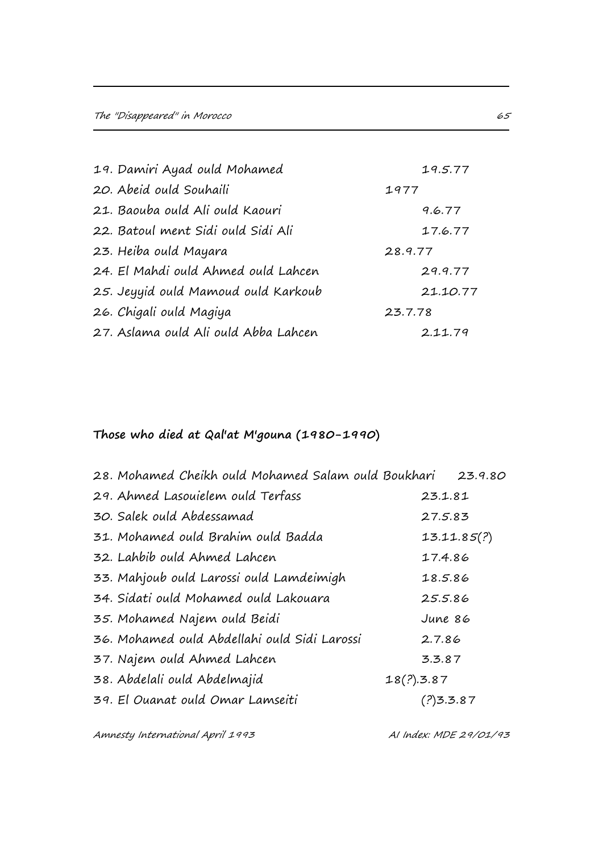| 19. Damiri Ayad ould Mohamed         | 19.5.77  |
|--------------------------------------|----------|
| 20. Abeid ould Souhaili              | 1977     |
| 21. Baouba ould Ali ould Kaouri      | 9.6.77   |
| 22. Batoul ment Sidi ould Sidi Ali   | 17.6.77  |
| 23. Heiba ould Mayara                | 28.9.77  |
| 24. El Mahdi ould Ahmed ould Lahcen  | 29.9.77  |
| 25. Jeyyid ould Mamoud ould Karkoub  | 21.10.77 |
| 26. Chigali ould Magiya              | 23.7.78  |
| 27. Aslama ould Ali ould Abba Lahcen | 2.11.79  |

# **Those who died at Qal'at M'gouna (1980-1990)**

| 28. Mohamed Cheikh ould Mohamed Salam ould Boukhari 23.9.80 |            |             |
|-------------------------------------------------------------|------------|-------------|
| 29. Ahmed Lasouielem ould Terfass                           | 23.1.81    |             |
| 30. Salek ould Abdessamad                                   | 27.5.83    |             |
| 31. Mohamed ould Brahim ould Badda                          |            | 13.11.85(?) |
| 32. Lahbib ould Ahmed Lahcen                                | 17.4.86    |             |
| 33. Mahjoub ould Larossi ould Lamdeimigh                    | 18.5.86    |             |
| 34. Sidati ould Mohamed ould Lakouara                       | 25.5.86    |             |
| 35. Mohamed Najem ould Beidi                                | June 86    |             |
| 36. Mohamed ould Abdellahi ould Sidi Larossi                | 2.7.86     |             |
| 37. Najem ould Ahmed Lahcen                                 | 3.3.87     |             |
| 38. Abdelali ould Abdelmajid                                | 18(?).3.87 |             |
| 39. El Quanat ould Omar Lamseiti                            | (?)3.3.87  |             |
|                                                             |            |             |

Amnesty International April 1993 March 2010 11 Al Index: MDE 29/01/93